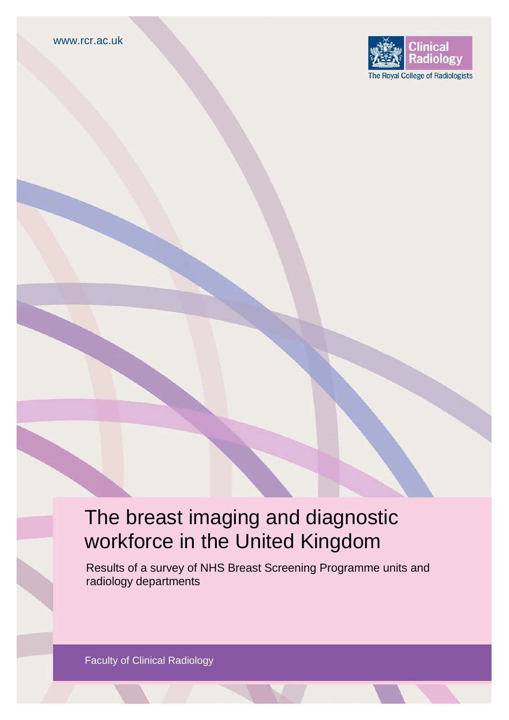

# The breast imaging and diagnostic workforce in the United Kingdom

Results of a survey of NHS Breast Screening Programme units and radiology departments

Faculty of Clinical Radiology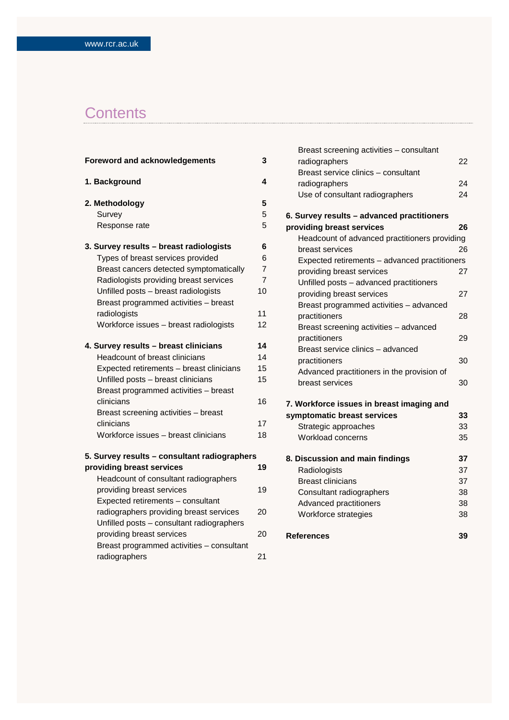## **Contents**

| <b>Foreword and acknowledgements</b>         | 3              |
|----------------------------------------------|----------------|
| 1. Background                                | 4              |
| 2. Methodology                               | 5              |
| Survey                                       | 5              |
| Response rate                                | 5              |
| 3. Survey results - breast radiologists      | 6              |
| Types of breast services provided            | 6              |
| Breast cancers detected symptomatically      | $\overline{7}$ |
| Radiologists providing breast services       | $\overline{7}$ |
| Unfilled posts - breast radiologists         | 10             |
| Breast programmed activities - breast        |                |
| radiologists                                 | 11             |
| Workforce issues - breast radiologists       | 12             |
| 4. Survey results - breast clinicians        | 14             |
| Headcount of breast clinicians               | 14             |
| Expected retirements - breast clinicians     | 15             |
| Unfilled posts - breast clinicians           | 15             |
| Breast programmed activities - breast        |                |
| clinicians                                   | 16             |
| Breast screening activities - breast         |                |
| clinicians                                   | 17             |
| Workforce issues - breast clinicians         | 18             |
| 5. Survey results - consultant radiographers |                |
| providing breast services                    | 19             |
| Headcount of consultant radiographers        |                |
| providing breast services                    | 19             |
| Expected retirements - consultant            |                |
| radiographers providing breast services      | 20             |
| Unfilled posts - consultant radiographers    |                |
| providing breast services                    | 20             |
| Breast programmed activities - consultant    |                |
| radiographers                                | 21             |

| Breast screening activities - consultant      |    |
|-----------------------------------------------|----|
| radiographers                                 | 22 |
| Breast service clinics - consultant           |    |
| radiographers                                 | 24 |
| Use of consultant radiographers               | 24 |
| 6. Survey results - advanced practitioners    |    |
| providing breast services                     | 26 |
| Headcount of advanced practitioners providing |    |
| breast services                               | 26 |
| Expected retirements - advanced practitioners |    |
| providing breast services                     | 27 |
| Unfilled posts - advanced practitioners       |    |
| providing breast services                     | 27 |
| Breast programmed activities - advanced       |    |
| practitioners                                 | 28 |
| Breast screening activities - advanced        |    |
| practitioners                                 | 29 |
| Breast service clinics - advanced             |    |
| practitioners                                 | 30 |
| Advanced practitioners in the provision of    |    |
| breast services                               | 30 |
| 7. Workforce issues in breast imaging and     |    |
| symptomatic breast services                   | 33 |
| Strategic approaches                          | 33 |
| Workload concerns                             | 35 |
| 8. Discussion and main findings               | 37 |
| Radiologists                                  | 37 |
| <b>Breast clinicians</b>                      | 37 |
| Consultant radiographers                      | 38 |
| Advanced practitioners                        | 38 |
| Workforce strategies                          | 38 |
| <b>References</b>                             | 39 |
|                                               |    |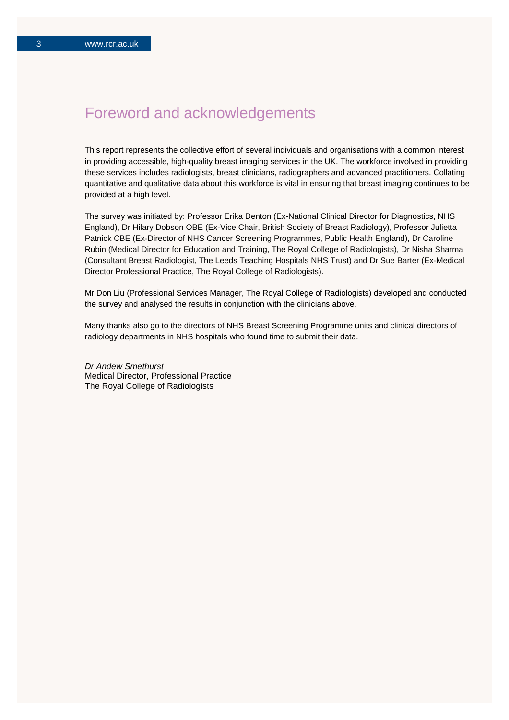## Foreword and acknowledgements

This report represents the collective effort of several individuals and organisations with a common interest in providing accessible, high-quality breast imaging services in the UK. The workforce involved in providing these services includes radiologists, breast clinicians, radiographers and advanced practitioners. Collating quantitative and qualitative data about this workforce is vital in ensuring that breast imaging continues to be provided at a high level.

The survey was initiated by: Professor Erika Denton (Ex-National Clinical Director for Diagnostics, NHS England), Dr Hilary Dobson OBE (Ex-Vice Chair, British Society of Breast Radiology), Professor Julietta Patnick CBE (Ex-Director of NHS Cancer Screening Programmes, Public Health England), Dr Caroline Rubin (Medical Director for Education and Training, The Royal College of Radiologists), Dr Nisha Sharma (Consultant Breast Radiologist, The Leeds Teaching Hospitals NHS Trust) and Dr Sue Barter (Ex-Medical Director Professional Practice, The Royal College of Radiologists).

Mr Don Liu (Professional Services Manager, The Royal College of Radiologists) developed and conducted the survey and analysed the results in conjunction with the clinicians above.

Many thanks also go to the directors of NHS Breast Screening Programme units and clinical directors of radiology departments in NHS hospitals who found time to submit their data.

*Dr Andew Smethurst* Medical Director, Professional Practice The Royal College of Radiologists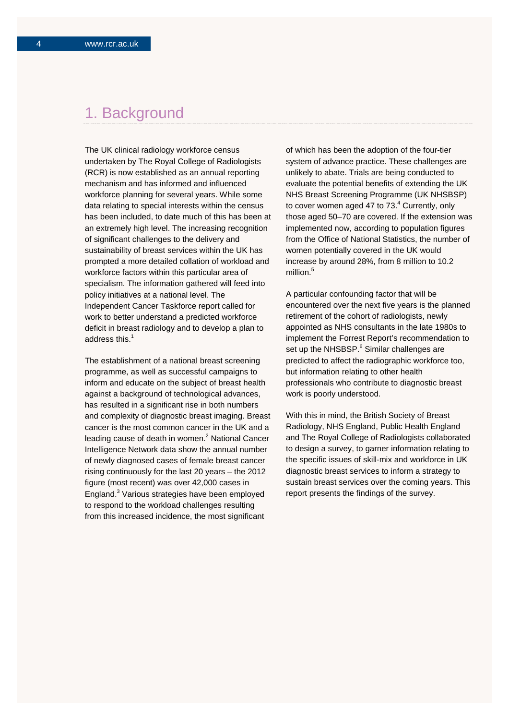## 1. Background

The UK clinical radiology workforce census undertaken by The Royal College of Radiologists (RCR) is now established as an annual reporting mechanism and has informed and influenced workforce planning for several years. While some data relating to special interests within the census has been included, to date much of this has been at an extremely high level. The increasing recognition of significant challenges to the delivery and sustainability of breast services within the UK has prompted a more detailed collation of workload and workforce factors within this particular area of specialism. The information gathered will feed into policy initiatives at a national level. The Independent Cancer Taskforce report called for work to better understand a predicted workforce deficit in breast radiology and to develop a plan to address this.<sup>1</sup>

The establishment of a national breast screening programme, as well as successful campaigns to inform and educate on the subject of breast health against a background of technological advances, has resulted in a significant rise in both numbers and complexity of diagnostic breast imaging. Breast cancer is the most common cancer in the UK and a leading cause of death in women.<sup>2</sup> National Cancer Intelligence Network data show the annual number of newly diagnosed cases of female breast cancer rising continuously for the last 20 years – the 2012 figure (most recent) was over 42,000 cases in England.3 Various strategies have been employed to respond to the workload challenges resulting from this increased incidence, the most significant

of which has been the adoption of the four-tier system of advance practice. These challenges are unlikely to abate. Trials are being conducted to evaluate the potential benefits of extending the UK NHS Breast Screening Programme (UK NHSBSP) to cover women aged 47 to 73.<sup>4</sup> Currently, only those aged 50–70 are covered. If the extension was implemented now, according to population figures from the Office of National Statistics, the number of women potentially covered in the UK would increase by around 28%, from 8 million to 10.2 million $5$ 

A particular confounding factor that will be encountered over the next five years is the planned retirement of the cohort of radiologists, newly appointed as NHS consultants in the late 1980s to implement the Forrest Report's recommendation to set up the NHSBSP.<sup>6</sup> Similar challenges are predicted to affect the radiographic workforce too, but information relating to other health professionals who contribute to diagnostic breast work is poorly understood.

With this in mind, the British Society of Breast Radiology, NHS England, Public Health England and The Royal College of Radiologists collaborated to design a survey, to garner information relating to the specific issues of skill-mix and workforce in UK diagnostic breast services to inform a strategy to sustain breast services over the coming years. This report presents the findings of the survey.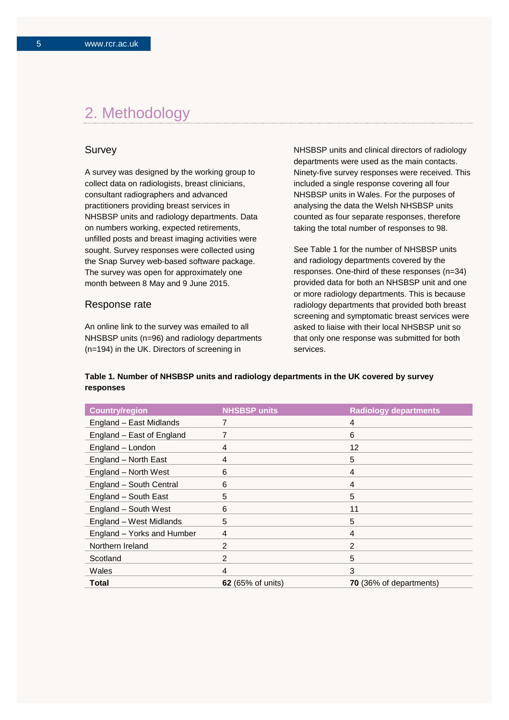## 2. Methodology

### Survey

A survey was designed by the working group to collect data on radiologists, breast clinicians, consultant radiographers and advanced practitioners providing breast services in NHSBSP units and radiology departments. Data on numbers working, expected retirements, unfilled posts and breast imaging activities were sought. Survey responses were collected using the Snap Survey web-based software package. The survey was open for approximately one month between 8 May and 9 June 2015.

#### Response rate

An online link to the survey was emailed to all NHSBSP units (n=96) and radiology departments (n=194) in the UK. Directors of screening in

NHSBSP units and clinical directors of radiology departments were used as the main contacts. Ninety-five survey responses were received. This included a single response covering all four NHSBSP units in Wales. For the purposes of analysing the data the Welsh NHSBSP units counted as four separate responses, therefore taking the total number of responses to 98.

See Table 1 for the number of NHSBSP units and radiology departments covered by the responses. One-third of these responses (n=34) provided data for both an NHSBSP unit and one or more radiology departments. This is because radiology departments that provided both breast screening and symptomatic breast services were asked to liaise with their local NHSBSP unit so that only one response was submitted for both services.

#### **Table 1. Number of NHSBSP units and radiology departments in the UK covered by survey responses**

| <b>Country/region</b>      | <b>NHSBSP units</b>      | <b>Radiology departments</b> |
|----------------------------|--------------------------|------------------------------|
| England - East Midlands    |                          | 4                            |
| England - East of England  |                          | 6                            |
| England - London           | 4                        | 12                           |
| England - North East       | 4                        | 5                            |
| England - North West       | 6                        | 4                            |
| England - South Central    | 6                        | 4                            |
| England - South East       | 5                        | 5                            |
| England - South West       | 6                        | 11                           |
| England - West Midlands    | 5                        | 5                            |
| England - Yorks and Humber | 4                        | 4                            |
| Northern Ireland           | 2                        | 2                            |
| Scotland                   | $\mathfrak{p}$           | 5                            |
| Wales                      | 4                        | 3                            |
| Total                      | <b>62</b> (65% of units) | 70 (36% of departments)      |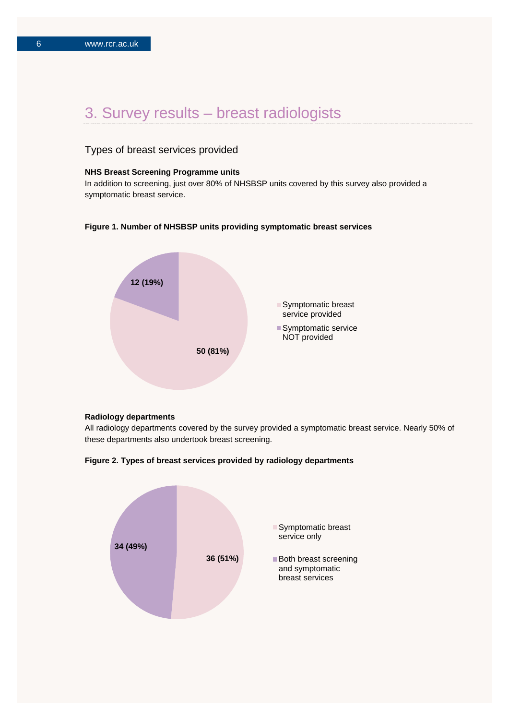## 3. Survey results – breast radiologists

## Types of breast services provided

#### **NHS Breast Screening Programme units**

In addition to screening, just over 80% of NHSBSP units covered by this survey also provided a symptomatic breast service.

#### **Figure 1. Number of NHSBSP units providing symptomatic breast services**



#### **Radiology departments**

All radiology departments covered by the survey provided a symptomatic breast service. Nearly 50% of these departments also undertook breast screening.



**Figure 2. Types of breast services provided by radiology departments**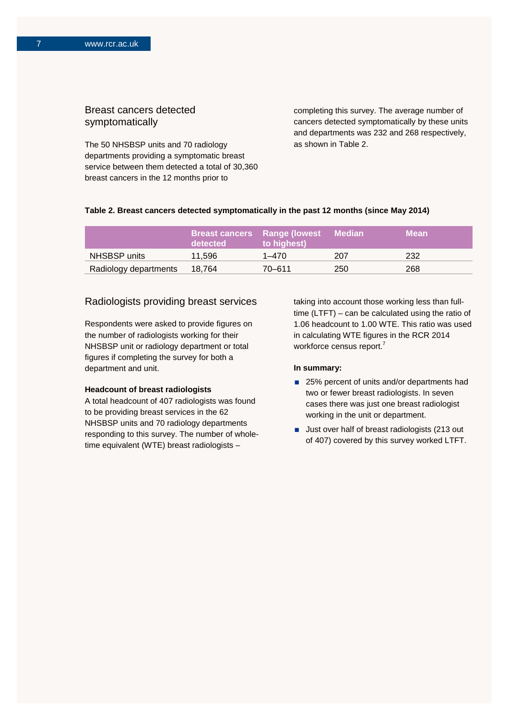## Breast cancers detected symptomatically

The 50 NHSBSP units and 70 radiology departments providing a symptomatic breast service between them detected a total of 30,360 breast cancers in the 12 months prior to

completing this survey. The average number of cancers detected symptomatically by these units and departments was 232 and 268 respectively, as shown in Table 2.

### **Table 2. Breast cancers detected symptomatically in the past 12 months (since May 2014)**

|                       | detected | <b>Breast cancers</b> Range (lowest<br>to highest) | <b>⊟ Median</b> | Mean |
|-----------------------|----------|----------------------------------------------------|-----------------|------|
| NHSBSP units          | 11.596   | $1 - 470$                                          | 207             | 232  |
| Radiology departments | 18.764   | 70-611                                             | 250             | 268  |

## Radiologists providing breast services

Respondents were asked to provide figures on the number of radiologists working for their NHSBSP unit or radiology department or total figures if completing the survey for both a department and unit.

## **Headcount of breast radiologists**

A total headcount of 407 radiologists was found to be providing breast services in the 62 NHSBSP units and 70 radiology departments responding to this survey. The number of wholetime equivalent (WTE) breast radiologists –

taking into account those working less than fulltime (LTFT) – can be calculated using the ratio of 1.06 headcount to 1.00 WTE. This ratio was used in calculating WTE figures in the RCR 2014 workforce census report.<sup>7</sup>

#### **In summary:**

- 25% percent of units and/or departments had two or fewer breast radiologists. In seven cases there was just one breast radiologist working in the unit or department.
- **Just over half of breast radiologists (213 out** of 407) covered by this survey worked LTFT.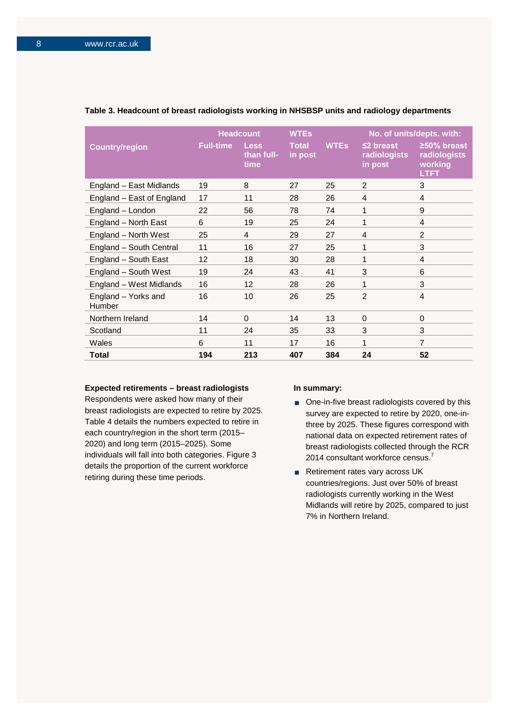|                               |                  | <b>Headcount</b>                  | <b>WTEs</b>             |             |                                            | No. of units/depts. with:                             |
|-------------------------------|------------------|-----------------------------------|-------------------------|-------------|--------------------------------------------|-------------------------------------------------------|
| <b>Country/region</b>         | <b>Full-time</b> | <b>Less</b><br>than full-<br>time | <b>Total</b><br>in post | <b>WTEs</b> | $\leq$ 2 breast<br>radiologists<br>in post | ≥50% breast<br>radiologists<br>working<br><b>LTFT</b> |
| England - East Midlands       | 19               | 8                                 | 27                      | 25          | $\mathfrak{p}$                             | 3                                                     |
| England - East of England     | 17               | 11                                | 28                      | 26          | 4                                          | 4                                                     |
| England - London              | 22               | 56                                | 78                      | 74          | 1                                          | 9                                                     |
| England - North East          | 6                | 19                                | 25                      | 24          | 1                                          | 4                                                     |
| England - North West          | 25               | 4                                 | 29                      | 27          | 4                                          | $\overline{2}$                                        |
| England - South Central       | 11               | 16                                | 27                      | 25          | 1                                          | 3                                                     |
| England - South East          | 12               | 18                                | 30                      | 28          | 1                                          | 4                                                     |
| England - South West          | 19               | 24                                | 43                      | 41          | 3                                          | 6                                                     |
| England - West Midlands       | 16               | 12                                | 28                      | 26          | 1                                          | 3                                                     |
| England - Yorks and<br>Humber | 16               | 10                                | 26                      | 25          | $\mathfrak{p}$                             | $\overline{4}$                                        |
| Northern Ireland              | 14               | $\Omega$                          | 14                      | 13          | $\Omega$                                   | $\mathbf 0$                                           |
| Scotland                      | 11               | 24                                | 35                      | 33          | 3                                          | 3                                                     |
| Wales                         | 6                | 11                                | 17                      | 16          | 1                                          | 7                                                     |
| Total                         | 194              | 213                               | 407                     | 384         | 24                                         | 52                                                    |

#### **Table 3. Headcount of breast radiologists working in NHSBSP units and radiology departments**

#### **Expected retirements – breast radiologists**

Respondents were asked how many of their breast radiologists are expected to retire by 2025. Table 4 details the numbers expected to retire in each country/region in the short term (2015– 2020) and long term (2015–2025). Some individuals will fall into both categories. Figure 3 details the proportion of the current workforce retiring during these time periods.

#### **In summary:**

- One-in-five breast radiologists covered by this survey are expected to retire by 2020, one-inthree by 2025. These figures correspond with national data on expected retirement rates of breast radiologists collected through the RCR 2014 consultant workforce census.<sup>7</sup>
- Retirement rates vary across UK countries/regions. Just over 50% of breast radiologists currently working in the West Midlands will retire by 2025, compared to just 7% in Northern Ireland.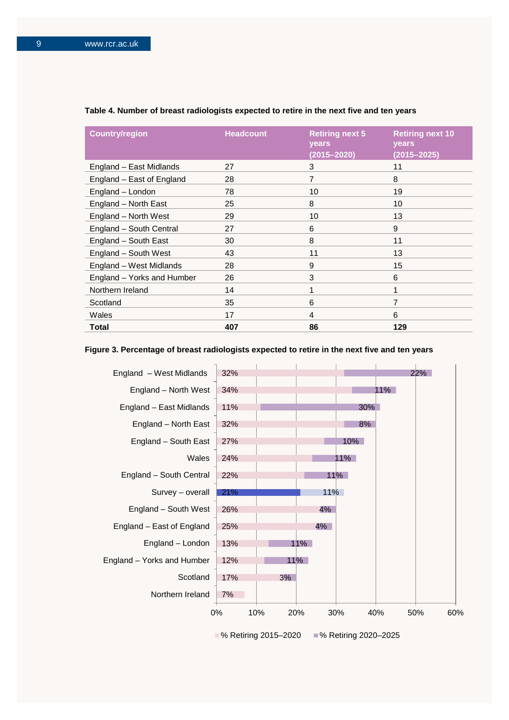| <b>Country/region</b>      | <b>Headcount</b> | <b>Retiring next 5</b><br>years<br>$(2015 - 2020)$ | <b>Retiring next 10</b><br>years<br>$(2015 - 2025)$ |
|----------------------------|------------------|----------------------------------------------------|-----------------------------------------------------|
| England – East Midlands    | 27               | 3                                                  | 11                                                  |
| England - East of England  | 28               | 7                                                  | 8                                                   |
| England - London           | 78               | 10                                                 | 19                                                  |
| England - North East       | 25               | 8                                                  | 10                                                  |
| England - North West       | 29               | 10                                                 | 13                                                  |
| England - South Central    | 27               | 6                                                  | 9                                                   |
| England - South East       | 30               | 8                                                  | 11                                                  |
| England - South West       | 43               | 11                                                 | 13                                                  |
| England - West Midlands    | 28               | 9                                                  | 15                                                  |
| England - Yorks and Humber | 26               | 3                                                  | 6                                                   |
| Northern Ireland           | 14               | 1                                                  | 1                                                   |
| Scotland                   | 35               | 6                                                  | 7                                                   |
| Wales                      | 17               | 4                                                  | 6                                                   |
| Total                      | 407              | 86                                                 | 129                                                 |

#### **Table 4. Number of breast radiologists expected to retire in the next five and ten years**

### **Figure 3. Percentage of breast radiologists expected to retire in the next five and ten years**

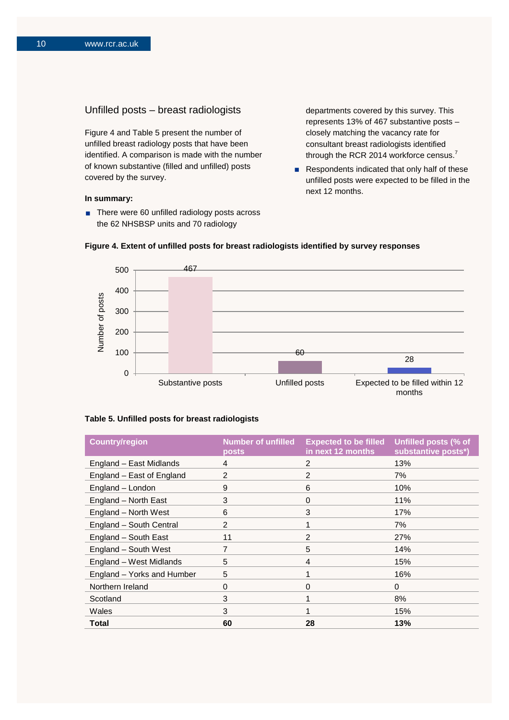## Unfilled posts – breast radiologists

Figure 4 and Table 5 present the number of unfilled breast radiology posts that have been identified. A comparison is made with the number of known substantive (filled and unfilled) posts covered by the survey.

#### **In summary:**

■ There were 60 unfilled radiology posts across the 62 NHSBSP units and 70 radiology

departments covered by this survey. This represents 13% of 467 substantive posts – closely matching the vacancy rate for consultant breast radiologists identified through the RCR 2014 workforce census.<sup>7</sup>

Respondents indicated that only half of these unfilled posts were expected to be filled in the next 12 months.





#### **Table 5. Unfilled posts for breast radiologists**

| <b>Country/region</b>      | <b>Number of unfilled</b><br>posts | <b>Expected to be filled</b><br>in next 12 months | Unfilled posts (% of<br>substantive posts*) |
|----------------------------|------------------------------------|---------------------------------------------------|---------------------------------------------|
| England - East Midlands    | 4                                  | 2                                                 | 13%                                         |
| England - East of England  | 2                                  | 2                                                 | 7%                                          |
| England - London           | 9                                  | 6                                                 | 10%                                         |
| England - North East       | 3                                  | $\mathbf 0$                                       | 11%                                         |
| England - North West       | 6                                  | 3                                                 | 17%                                         |
| England - South Central    | 2                                  |                                                   | 7%                                          |
| England - South East       | 11                                 | 2                                                 | 27%                                         |
| England - South West       | $\overline{7}$                     | 5                                                 | 14%                                         |
| England - West Midlands    | 5                                  | 4                                                 | 15%                                         |
| England - Yorks and Humber | 5                                  |                                                   | 16%                                         |
| Northern Ireland           | 0                                  | $\Omega$                                          | $\Omega$                                    |
| Scotland                   | 3                                  |                                                   | 8%                                          |
| Wales                      | 3                                  | 1                                                 | 15%                                         |
| Total                      | 60                                 | 28                                                | 13%                                         |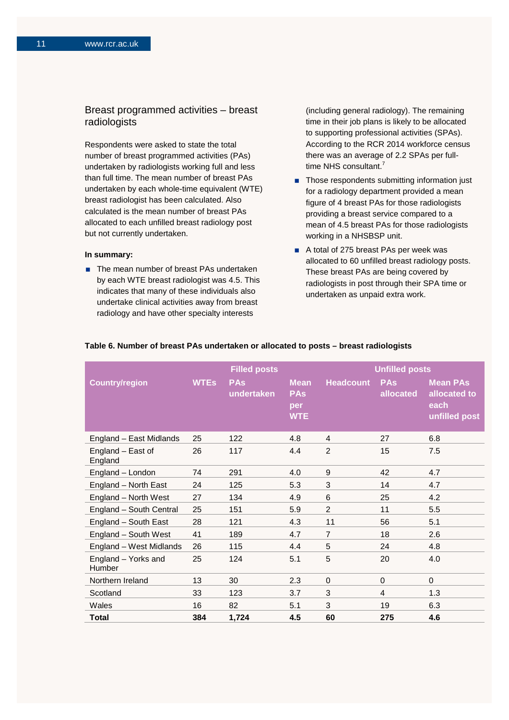## Breast programmed activities – breast radiologists

Respondents were asked to state the total number of breast programmed activities (PAs) undertaken by radiologists working full and less than full time. The mean number of breast PAs undertaken by each whole-time equivalent (WTE) breast radiologist has been calculated. Also calculated is the mean number of breast PAs allocated to each unfilled breast radiology post but not currently undertaken.

#### **In summary:**

■ The mean number of breast PAs undertaken by each WTE breast radiologist was 4.5. This indicates that many of these individuals also undertake clinical activities away from breast radiology and have other specialty interests

(including general radiology). The remaining time in their job plans is likely to be allocated to supporting professional activities (SPAs). According to the RCR 2014 workforce census there was an average of 2.2 SPAs per fulltime NHS consultant.<sup>7</sup>

- Those respondents submitting information just for a radiology department provided a mean figure of 4 breast PAs for those radiologists providing a breast service compared to a mean of 4.5 breast PAs for those radiologists working in a NHSBSP unit.
- A total of 275 breast PAs per week was allocated to 60 unfilled breast radiology posts. These breast PAs are being covered by radiologists in post through their SPA time or undertaken as unpaid extra work.

|                               |             | <b>Filled posts</b>      |                                                |                  | <b>Unfilled posts</b>   |                                                          |
|-------------------------------|-------------|--------------------------|------------------------------------------------|------------------|-------------------------|----------------------------------------------------------|
| <b>Country/region</b>         | <b>WTEs</b> | <b>PAs</b><br>undertaken | <b>Mean</b><br><b>PAs</b><br>per<br><b>WTE</b> | <b>Headcount</b> | <b>PAs</b><br>allocated | <b>Mean PAs</b><br>allocated to<br>each<br>unfilled post |
| England - East Midlands       | 25          | 122                      | 4.8                                            | 4                | 27                      | 6.8                                                      |
| England - East of<br>England  | 26          | 117                      | 4.4                                            | $\overline{2}$   | 15                      | 7.5                                                      |
| England - London              | 74          | 291                      | 4.0                                            | 9                | 42                      | 4.7                                                      |
| England - North East          | 24          | 125                      | 5.3                                            | 3                | 14                      | 4.7                                                      |
| England - North West          | 27          | 134                      | 4.9                                            | 6                | 25                      | 4.2                                                      |
| England - South Central       | 25          | 151                      | 5.9                                            | $\overline{2}$   | 11                      | 5.5                                                      |
| England - South East          | 28          | 121                      | 4.3                                            | 11               | 56                      | 5.1                                                      |
| England - South West          | 41          | 189                      | 4.7                                            | $\overline{7}$   | 18                      | 2.6                                                      |
| England - West Midlands       | 26          | 115                      | 4.4                                            | 5                | 24                      | 4.8                                                      |
| England - Yorks and<br>Humber | 25          | 124                      | 5.1                                            | 5                | 20                      | 4.0                                                      |
| Northern Ireland              | 13          | 30                       | 2.3                                            | 0                | $\Omega$                | $\mathbf 0$                                              |
| Scotland                      | 33          | 123                      | 3.7                                            | 3                | 4                       | 1.3                                                      |
| Wales                         | 16          | 82                       | 5.1                                            | 3                | 19                      | 6.3                                                      |
| <b>Total</b>                  | 384         | 1,724                    | 4.5                                            | 60               | 275                     | 4.6                                                      |

#### **Table 6. Number of breast PAs undertaken or allocated to posts – breast radiologists**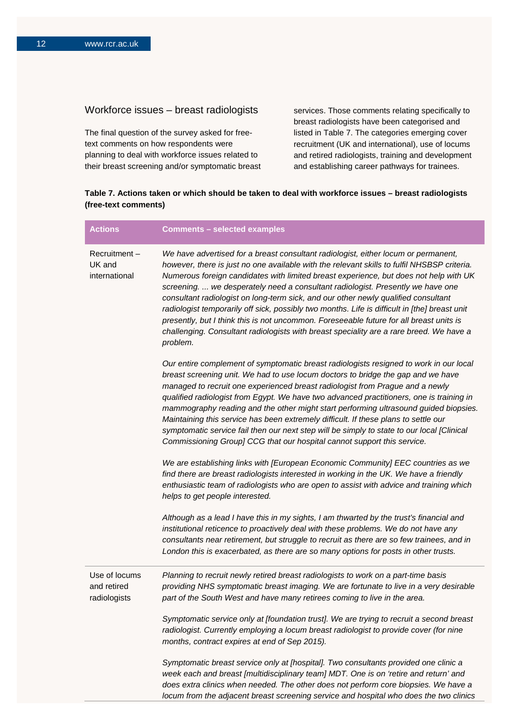## Workforce issues – breast radiologists

The final question of the survey asked for freetext comments on how respondents were planning to deal with workforce issues related to their breast screening and/or symptomatic breast services. Those comments relating specifically to breast radiologists have been categorised and listed in Table 7. The categories emerging cover recruitment (UK and international), use of locums and retired radiologists, training and development and establishing career pathways for trainees.

## **Table 7. Actions taken or which should be taken to deal with workforce issues – breast radiologists (free-text comments)**

| <b>Actions</b>                               | <b>Comments - selected examples</b>                                                                                                                                                                                                                                                                                                                                                                                                                                                                                                                                                                                                                                                                                                                    |
|----------------------------------------------|--------------------------------------------------------------------------------------------------------------------------------------------------------------------------------------------------------------------------------------------------------------------------------------------------------------------------------------------------------------------------------------------------------------------------------------------------------------------------------------------------------------------------------------------------------------------------------------------------------------------------------------------------------------------------------------------------------------------------------------------------------|
| Recruitment-<br>UK and<br>international      | We have advertised for a breast consultant radiologist, either locum or permanent,<br>however, there is just no one available with the relevant skills to fulfil NHSBSP criteria.<br>Numerous foreign candidates with limited breast experience, but does not help with UK<br>screening.  we desperately need a consultant radiologist. Presently we have one<br>consultant radiologist on long-term sick, and our other newly qualified consultant<br>radiologist temporarily off sick, possibly two months. Life is difficult in [the] breast unit<br>presently, but I think this is not uncommon. Foreseeable future for all breast units is<br>challenging. Consultant radiologists with breast speciality are a rare breed. We have a<br>problem. |
|                                              | Our entire complement of symptomatic breast radiologists resigned to work in our local<br>breast screening unit. We had to use locum doctors to bridge the gap and we have<br>managed to recruit one experienced breast radiologist from Prague and a newly<br>qualified radiologist from Egypt. We have two advanced practitioners, one is training in<br>mammography reading and the other might start performing ultrasound guided biopsies.<br>Maintaining this service has been extremely difficult. If these plans to settle our<br>symptomatic service fail then our next step will be simply to state to our local [Clinical<br>Commissioning Group] CCG that our hospital cannot support this service.                                        |
|                                              | We are establishing links with [European Economic Community] EEC countries as we<br>find there are breast radiologists interested in working in the UK. We have a friendly<br>enthusiastic team of radiologists who are open to assist with advice and training which<br>helps to get people interested.                                                                                                                                                                                                                                                                                                                                                                                                                                               |
|                                              | Although as a lead I have this in my sights, I am thwarted by the trust's financial and<br>institutional reticence to proactively deal with these problems. We do not have any<br>consultants near retirement, but struggle to recruit as there are so few trainees, and in<br>London this is exacerbated, as there are so many options for posts in other trusts.                                                                                                                                                                                                                                                                                                                                                                                     |
| Use of locums<br>and retired<br>radiologists | Planning to recruit newly retired breast radiologists to work on a part-time basis<br>providing NHS symptomatic breast imaging. We are fortunate to live in a very desirable<br>part of the South West and have many retirees coming to live in the area.                                                                                                                                                                                                                                                                                                                                                                                                                                                                                              |
|                                              | Symptomatic service only at [foundation trust]. We are trying to recruit a second breast<br>radiologist. Currently employing a locum breast radiologist to provide cover (for nine<br>months, contract expires at end of Sep 2015).                                                                                                                                                                                                                                                                                                                                                                                                                                                                                                                    |
|                                              | Symptomatic breast service only at [hospital]. Two consultants provided one clinic a<br>week each and breast [multidisciplinary team] MDT. One is on 'retire and return' and<br>does extra clinics when needed. The other does not perform core biopsies. We have a<br>locum from the adjacent breast screening service and hospital who does the two clinics                                                                                                                                                                                                                                                                                                                                                                                          |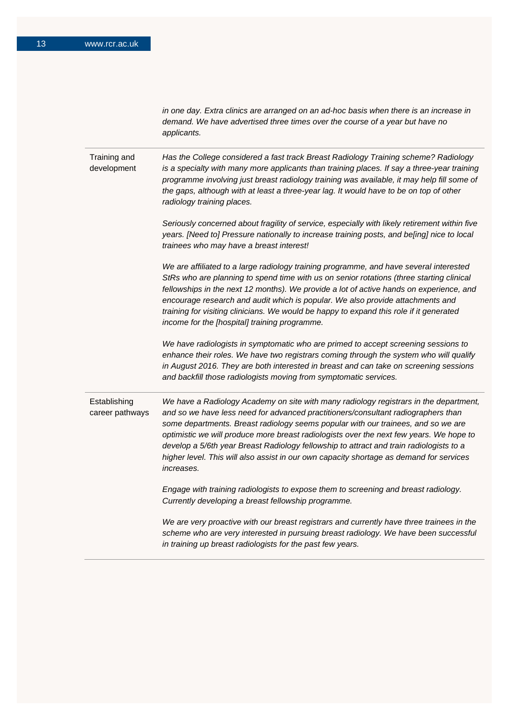*in one day. Extra clinics are arranged on an ad-hoc basis when there is an increase in demand. We have advertised three times over the course of a year but have no applicants.*

Training and development *Has the College considered a fast track Breast Radiology Training scheme? Radiology is a specialty with many more applicants than training places. If say a three-year training programme involving just breast radiology training was available, it may help fill some of the gaps, although with at least a three-year lag. It would have to be on top of other radiology training places.*

> *Seriously concerned about fragility of service, especially with likely retirement within five years. [Need to] Pressure nationally to increase training posts, and be[ing] nice to local trainees who may have a breast interest!*

> *We are affiliated to a large radiology training programme, and have several interested StRs who are planning to spend time with us on senior rotations (three starting clinical*  fellowships in the next 12 months). We provide a lot of active hands on experience, and *encourage research and audit which is popular. We also provide attachments and training for visiting clinicians. We would be happy to expand this role if it generated income for the [hospital] training programme.*

> *We have radiologists in symptomatic who are primed to accept screening sessions to enhance their roles. We have two registrars coming through the system who will qualify in August 2016. They are both interested in breast and can take on screening sessions and backfill those radiologists moving from symptomatic services.*

Establishing career pathways *We have a Radiology Academy on site with many radiology registrars in the department, and so we have less need for advanced practitioners/consultant radiographers than some departments. Breast radiology seems popular with our trainees, and so we are optimistic we will produce more breast radiologists over the next few years. We hope to develop a 5/6th year Breast Radiology fellowship to attract and train radiologists to a higher level. This will also assist in our own capacity shortage as demand for services increases.*

> *Engage with training radiologists to expose them to screening and breast radiology. Currently developing a breast fellowship programme.*

*We are very proactive with our breast registrars and currently have three trainees in the scheme who are very interested in pursuing breast radiology. We have been successful in training up breast radiologists for the past few years.*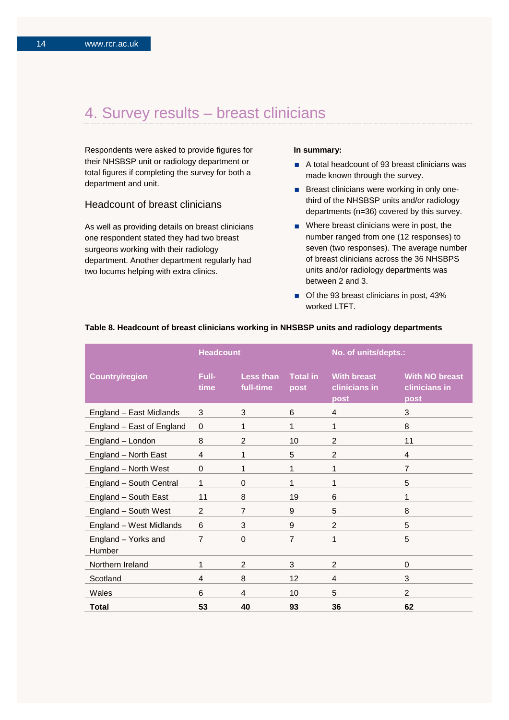## 4. Survey results – breast clinicians

Respondents were asked to provide figures for their NHSBSP unit or radiology department or total figures if completing the survey for both a department and unit.

## Headcount of breast clinicians

As well as providing details on breast clinicians one respondent stated they had two breast surgeons working with their radiology department. Another department regularly had two locums helping with extra clinics.

#### **In summary:**

- A total headcount of 93 breast clinicians was made known through the survey.
- **Breast clinicians were working in only one**third of the NHSBSP units and/or radiology departments (n=36) covered by this survey.
- Where breast clinicians were in post, the number ranged from one (12 responses) to seven (two responses). The average number of breast clinicians across the 36 NHSBPS units and/or radiology departments was between 2 and 3.
- Of the 93 breast clinicians in post, 43% worked LTFT.

|                               | <b>Headcount</b> |                        |                         | No. of units/depts.:                        |                                                |
|-------------------------------|------------------|------------------------|-------------------------|---------------------------------------------|------------------------------------------------|
| <b>Country/region</b>         | Full-<br>time    | Less than<br>full-time | <b>Total in</b><br>post | <b>With breast</b><br>clinicians in<br>post | <b>With NO breast</b><br>clinicians in<br>post |
| England - East Midlands       | 3                | 3                      | 6                       | 4                                           | 3                                              |
| England - East of England     | 0                | 1                      | 1                       | 1                                           | 8                                              |
| England - London              | 8                | $\overline{2}$         | 10                      | $\overline{2}$                              | 11                                             |
| England - North East          | 4                | 1                      | 5                       | $\overline{2}$                              | 4                                              |
| England - North West          | $\boldsymbol{0}$ | 1                      | 1                       | 1                                           | 7                                              |
| England - South Central       | 1                | 0                      | 1                       | 1                                           | 5                                              |
| England - South East          | 11               | 8                      | 19                      | 6                                           | 1                                              |
| England - South West          | $\overline{2}$   | $\overline{7}$         | 9                       | 5                                           | 8                                              |
| England - West Midlands       | 6                | 3                      | 9                       | $\overline{2}$                              | 5                                              |
| England - Yorks and<br>Humber | $\overline{7}$   | 0                      | $\overline{7}$          | 1                                           | 5                                              |
| Northern Ireland              | 1                | 2                      | 3                       | $\overline{2}$                              | 0                                              |
| Scotland                      | 4                | 8                      | 12                      | 4                                           | 3                                              |
| Wales                         | 6                | 4                      | 10                      | 5                                           | $\overline{2}$                                 |
| Total                         | 53               | 40                     | 93                      | 36                                          | 62                                             |

#### **Table 8. Headcount of breast clinicians working in NHSBSP units and radiology departments**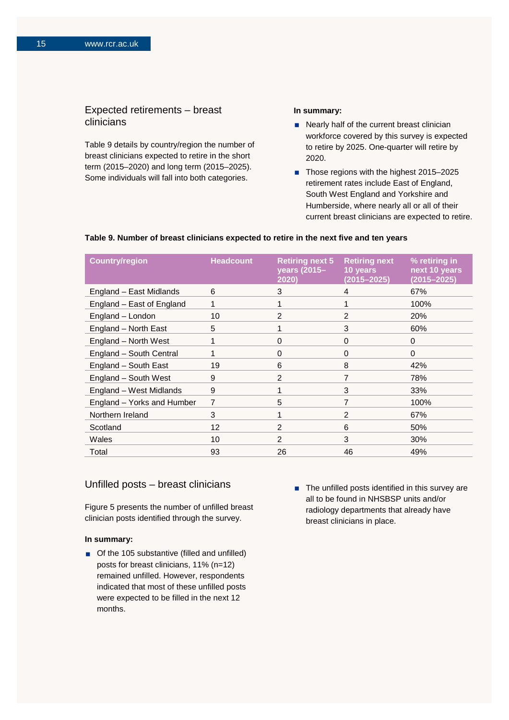## Expected retirements – breast clinicians

Table 9 details by country/region the number of breast clinicians expected to retire in the short term (2015–2020) and long term (2015–2025). Some individuals will fall into both categories.

#### **In summary:**

- Nearly half of the current breast clinician workforce covered by this survey is expected to retire by 2025. One-quarter will retire by 2020.
- Those regions with the highest 2015–2025 retirement rates include East of England, South West England and Yorkshire and Humberside, where nearly all or all of their current breast clinicians are expected to retire.

#### **Table 9. Number of breast clinicians expected to retire in the next five and ten years**

| <b>Country/region</b>      | <b>Headcount</b> | <b>Retiring next 5</b><br>years (2015-<br>2020) | <b>Retiring next</b><br>10 years<br>$(2015 - 2025)$ | % retiring in<br>next 10 years<br>$(2015 - 2025)$ |
|----------------------------|------------------|-------------------------------------------------|-----------------------------------------------------|---------------------------------------------------|
| England - East Midlands    | 6                | 3                                               | 4                                                   | 67%                                               |
| England - East of England  | 1                |                                                 |                                                     | 100%                                              |
| England - London           | 10               | $\mathfrak{p}$                                  | 2                                                   | 20%                                               |
| England - North East       | 5                |                                                 | 3                                                   | 60%                                               |
| England - North West       | 1                | $\Omega$                                        | 0                                                   | $\Omega$                                          |
| England - South Central    | 1                | $\Omega$                                        | $\Omega$                                            | $\Omega$                                          |
| England - South East       | 19               | 6                                               | 8                                                   | 42%                                               |
| England - South West       | 9                | 2                                               | 7                                                   | 78%                                               |
| England - West Midlands    | 9                |                                                 | 3                                                   | 33%                                               |
| England - Yorks and Humber | 7                | 5                                               | 7                                                   | 100%                                              |
| Northern Ireland           | 3                |                                                 | 2                                                   | 67%                                               |
| Scotland                   | 12               | 2                                               | 6                                                   | 50%                                               |
| Wales                      | 10 <sup>1</sup>  | $\mathfrak{p}$                                  | 3                                                   | 30%                                               |
| Total                      | 93               | 26                                              | 46                                                  | 49%                                               |

#### Unfilled posts – breast clinicians

Figure 5 presents the number of unfilled breast clinician posts identified through the survey.

#### **In summary:**

- Of the 105 substantive (filled and unfilled) posts for breast clinicians, 11% (n=12) remained unfilled. However, respondents indicated that most of these unfilled posts were expected to be filled in the next 12 months.
- The unfilled posts identified in this survey are all to be found in NHSBSP units and/or radiology departments that already have breast clinicians in place.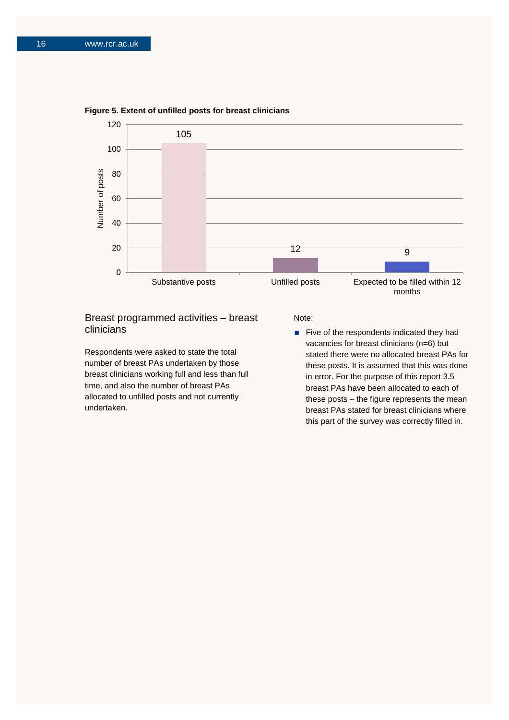

**Figure 5. Extent of unfilled posts for breast clinicians**

## Breast programmed activities – breast clinicians

Respondents were asked to state the total number of breast PAs undertaken by those breast clinicians working full and less than full time, and also the number of breast PAs allocated to unfilled posts and not currently undertaken.

Note:

 $\blacksquare$  Five of the respondents indicated they had vacancies for breast clinicians (n=6) but stated there were no allocated breast PAs for these posts. It is assumed that this was done in error. For the purpose of this report 3.5 breast PAs have been allocated to each of these posts – the figure represents the mean breast PAs stated for breast clinicians where this part of the survey was correctly filled in.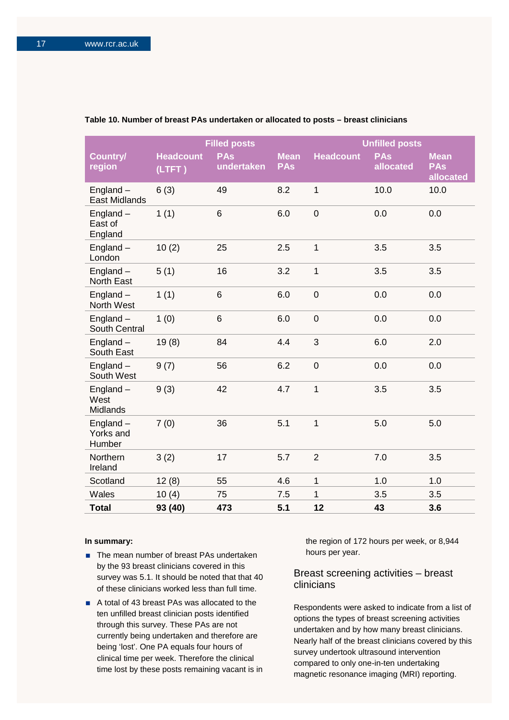|                                     |                            | <b>Filled posts</b>      |                           |                  | <b>Unfilled posts</b>   |                                        |
|-------------------------------------|----------------------------|--------------------------|---------------------------|------------------|-------------------------|----------------------------------------|
| Country/<br>region                  | <b>Headcount</b><br>(LTFT) | <b>PAs</b><br>undertaken | <b>Mean</b><br><b>PAs</b> | <b>Headcount</b> | <b>PAs</b><br>allocated | <b>Mean</b><br><b>PAs</b><br>allocated |
| England $-$<br><b>East Midlands</b> | 6(3)                       | 49                       | 8.2                       | $\mathbf{1}$     | 10.0                    | 10.0                                   |
| England-<br>East of<br>England      | 1(1)                       | 6                        | 6.0                       | $\mathsf 0$      | 0.0                     | 0.0                                    |
| England $-$<br>London               | 10(2)                      | 25                       | 2.5                       | $\mathbf{1}$     | 3.5                     | 3.5                                    |
| England $-$<br>North East           | 5(1)                       | 16                       | 3.2                       | 1                | 3.5                     | 3.5                                    |
| England-<br>North West              | 1(1)                       | 6                        | 6.0                       | $\overline{0}$   | 0.0                     | 0.0                                    |
| England-<br>South Central           | 1(0)                       | 6                        | 6.0                       | $\mathsf 0$      | 0.0                     | 0.0                                    |
| England $-$<br>South East           | 19(8)                      | 84                       | 4.4                       | 3                | 6.0                     | 2.0                                    |
| England-<br>South West              | 9(7)                       | 56                       | 6.2                       | $\mathbf 0$      | 0.0                     | 0.0                                    |
| England-<br>West<br>Midlands        | 9(3)                       | 42                       | 4.7                       | $\mathbf{1}$     | 3.5                     | 3.5                                    |
| $England -$<br>Yorks and<br>Humber  | 7(0)                       | 36                       | 5.1                       | $\mathbf{1}$     | 5.0                     | 5.0                                    |
| Northern<br>Ireland                 | 3(2)                       | 17                       | 5.7                       | $\overline{2}$   | 7.0                     | 3.5                                    |
| Scotland                            | 12(8)                      | 55                       | 4.6                       | $\mathbf{1}$     | 1.0                     | 1.0                                    |
| <b>Wales</b>                        | 10(4)                      | 75                       | 7.5                       | 1                | 3.5                     | 3.5                                    |
| <b>Total</b>                        | 93 (40)                    | 473                      | 5.1                       | 12               | 43                      | 3.6                                    |

#### **Table 10. Number of breast PAs undertaken or allocated to posts – breast clinicians**

#### **In summary:**

- The mean number of breast PAs undertaken by the 93 breast clinicians covered in this survey was 5.1. It should be noted that that 40 of these clinicians worked less than full time.
- A total of 43 breast PAs was allocated to the ten unfilled breast clinician posts identified through this survey. These PAs are not currently being undertaken and therefore are being 'lost'. One PA equals four hours of clinical time per week. Therefore the clinical time lost by these posts remaining vacant is in

the region of 172 hours per week, or 8,944 hours per year.

## Breast screening activities – breast clinicians

Respondents were asked to indicate from a list of options the types of breast screening activities undertaken and by how many breast clinicians. Nearly half of the breast clinicians covered by this survey undertook ultrasound intervention compared to only one-in-ten undertaking magnetic resonance imaging (MRI) reporting.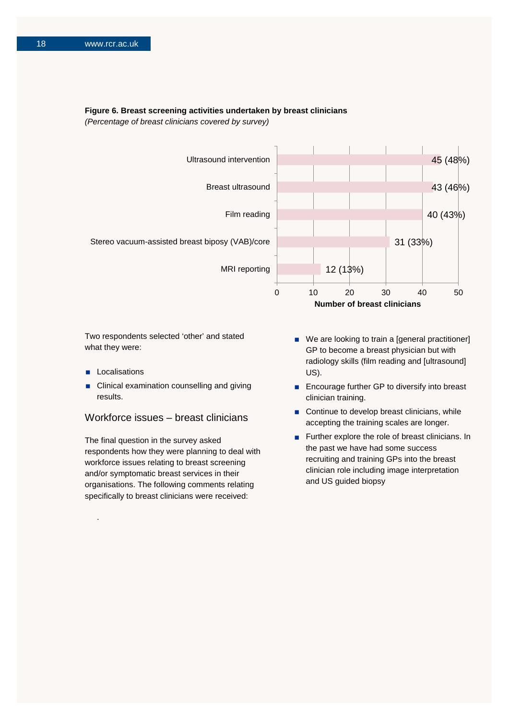#### **Figure 6. Breast screening activities undertaken by breast clinicians**

*(Percentage of breast clinicians covered by survey)*



Two respondents selected 'other' and stated what they were:

Localisations

.

 Clinical examination counselling and giving results.

### Workforce issues – breast clinicians

The final question in the survey asked respondents how they were planning to deal with workforce issues relating to breast screening and/or symptomatic breast services in their organisations. The following comments relating specifically to breast clinicians were received:

- We are looking to train a [general practitioner] GP to become a breast physician but with radiology skills (film reading and [ultrasound] US).
- Encourage further GP to diversify into breast clinician training.
- Continue to develop breast clinicians, while accepting the training scales are longer.
- Further explore the role of breast clinicians. In the past we have had some success recruiting and training GPs into the breast clinician role including image interpretation and US guided biopsy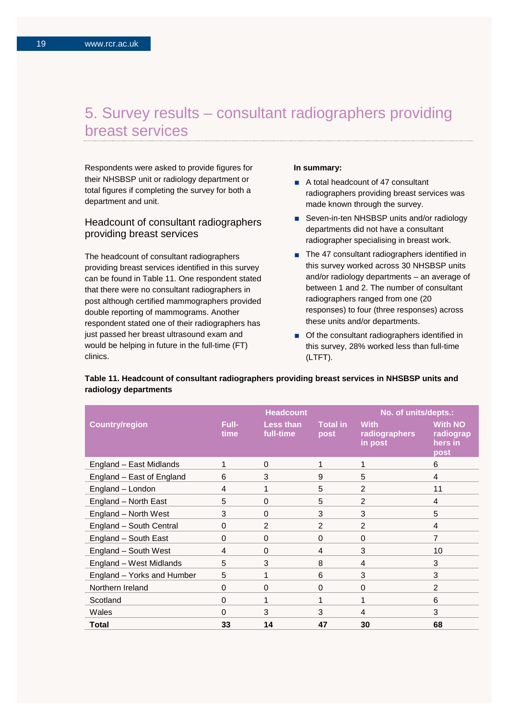## 5. Survey results – consultant radiographers providing breast services

Respondents were asked to provide figures for their NHSBSP unit or radiology department or total figures if completing the survey for both a department and unit.

## Headcount of consultant radiographers providing breast services

The headcount of consultant radiographers providing breast services identified in this survey can be found in Table 11. One respondent stated that there were no consultant radiographers in post although certified mammographers provided double reporting of mammograms. Another respondent stated one of their radiographers has just passed her breast ultrasound exam and would be helping in future in the full-time (FT) clinics.

#### **In summary:**

- A total headcount of 47 consultant radiographers providing breast services was made known through the survey.
- Seven-in-ten NHSBSP units and/or radiology departments did not have a consultant radiographer specialising in breast work.
- The 47 consultant radiographers identified in this survey worked across 30 NHSBSP units and/or radiology departments – an average of between 1 and 2. The number of consultant radiographers ranged from one (20 responses) to four (three responses) across these units and/or departments.
- Of the consultant radiographers identified in this survey, 28% worked less than full-time (LTFT).

|                            |               | <b>Headcount</b>              |                  | No. of units/depts.:                    |                                                |
|----------------------------|---------------|-------------------------------|------------------|-----------------------------------------|------------------------------------------------|
| <b>Country/region</b>      | Full-<br>time | <b>Less than</b><br>full-time | Total in<br>post | <b>With</b><br>radiographers<br>in post | <b>With NO</b><br>radiograp<br>hers in<br>post |
| England - East Midlands    |               | 0                             | 1                | 1                                       | 6                                              |
| England - East of England  | 6             | 3                             | 9                | 5                                       | 4                                              |
| England - London           | 4             | 1                             | 5                | 2                                       | 11                                             |
| England - North East       | 5             | 0                             | 5                | $\overline{2}$                          | 4                                              |
| England - North West       | 3             | $\mathbf 0$                   | 3                | 3                                       | 5                                              |
| England - South Central    | 0             | $\overline{2}$                | $\overline{2}$   | 2                                       | 4                                              |
| England - South East       | 0             | $\mathbf 0$                   | $\Omega$         | $\Omega$                                | 7                                              |
| England - South West       | 4             | $\Omega$                      | 4                | 3                                       | 10                                             |
| England - West Midlands    | 5             | 3                             | 8                | 4                                       | 3                                              |
| England - Yorks and Humber | 5             | 1                             | 6                | 3                                       | 3                                              |
| Northern Ireland           | 0             | $\mathbf 0$                   | $\mathbf 0$      | $\Omega$                                | $\overline{2}$                                 |
| Scotland                   | $\Omega$      |                               | 1                | 1                                       | 6                                              |
| Wales                      | $\Omega$      | 3                             | 3                | $\overline{4}$                          | 3                                              |
| Total                      | 33            | 14                            | 47               | 30                                      | 68                                             |

### **Table 11. Headcount of consultant radiographers providing breast services in NHSBSP units and radiology departments**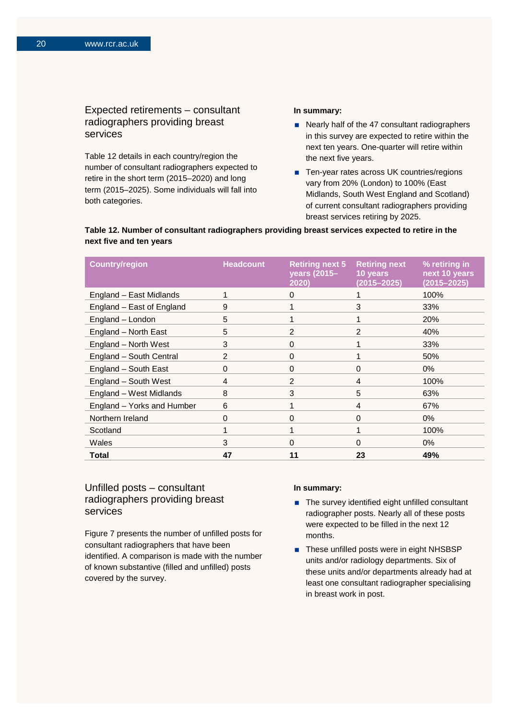## Expected retirements – consultant radiographers providing breast services

Table 12 details in each country/region the number of consultant radiographers expected to retire in the short term (2015–2020) and long term (2015–2025). Some individuals will fall into both categories.

#### **In summary:**

- Nearly half of the 47 consultant radiographers in this survey are expected to retire within the next ten years. One-quarter will retire within the next five years.
- Ten-year rates across UK countries/regions vary from 20% (London) to 100% (East Midlands, South West England and Scotland) of current consultant radiographers providing breast services retiring by 2025.

#### **Table 12. Number of consultant radiographers providing breast services expected to retire in the next five and ten years**

| <b>Country/region</b>      | <b>Headcount</b> | <b>Retiring next 5</b><br>years (2015-<br>2020) | <b>Retiring next</b><br>10 years<br>$(2015 - 2025)$ | % retiring in<br>next 10 years<br>$(2015 - 2025)$ |
|----------------------------|------------------|-------------------------------------------------|-----------------------------------------------------|---------------------------------------------------|
| England - East Midlands    | 1                | 0                                               |                                                     | 100%                                              |
| England - East of England  | 9                |                                                 | 3                                                   | 33%                                               |
| England - London           | 5                |                                                 |                                                     | 20%                                               |
| England - North East       | 5                | 2                                               | 2                                                   | 40%                                               |
| England - North West       | 3                | $\Omega$                                        |                                                     | 33%                                               |
| England - South Central    | 2                | $\Omega$                                        |                                                     | 50%                                               |
| England - South East       | 0                | $\Omega$                                        | $\Omega$                                            | $0\%$                                             |
| England - South West       | 4                | 2                                               | 4                                                   | 100%                                              |
| England - West Midlands    | 8                | 3                                               | 5                                                   | 63%                                               |
| England - Yorks and Humber | 6                |                                                 | 4                                                   | 67%                                               |
| Northern Ireland           | 0                | 0                                               | $\Omega$                                            | $0\%$                                             |
| Scotland                   |                  |                                                 |                                                     | 100%                                              |
| Wales                      | 3                | $\Omega$                                        | $\Omega$                                            | $0\%$                                             |
| Total                      | 47               | 11                                              | 23                                                  | 49%                                               |

## Unfilled posts – consultant radiographers providing breast services

Figure 7 presents the number of unfilled posts for consultant radiographers that have been identified. A comparison is made with the number of known substantive (filled and unfilled) posts covered by the survey.

#### **In summary:**

- The survey identified eight unfilled consultant radiographer posts. Nearly all of these posts were expected to be filled in the next 12 months.
- These unfilled posts were in eight NHSBSP units and/or radiology departments. Six of these units and/or departments already had at least one consultant radiographer specialising in breast work in post.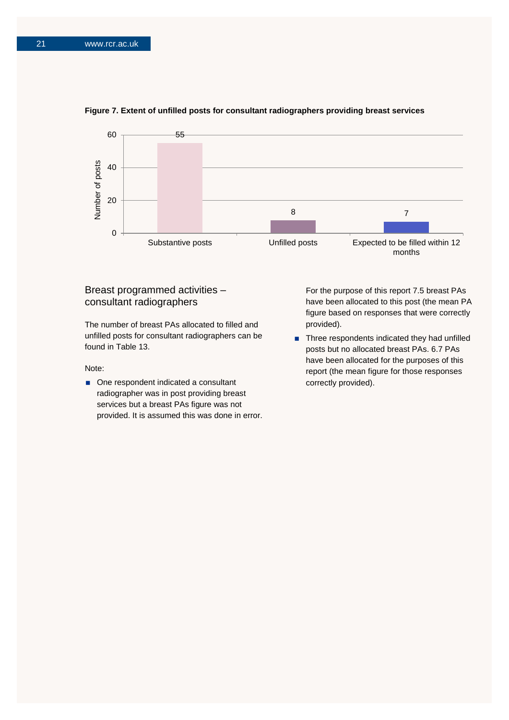

#### **Figure 7. Extent of unfilled posts for consultant radiographers providing breast services**

## Breast programmed activities – consultant radiographers

The number of breast PAs allocated to filled and unfilled posts for consultant radiographers can be found in Table 13.

#### Note:

■ One respondent indicated a consultant radiographer was in post providing breast services but a breast PAs figure was not provided. It is assumed this was done in error. For the purpose of this report 7.5 breast PAs have been allocated to this post (the mean PA figure based on responses that were correctly provided).

■ Three respondents indicated they had unfilled posts but no allocated breast PAs. 6.7 PAs have been allocated for the purposes of this report (the mean figure for those responses correctly provided).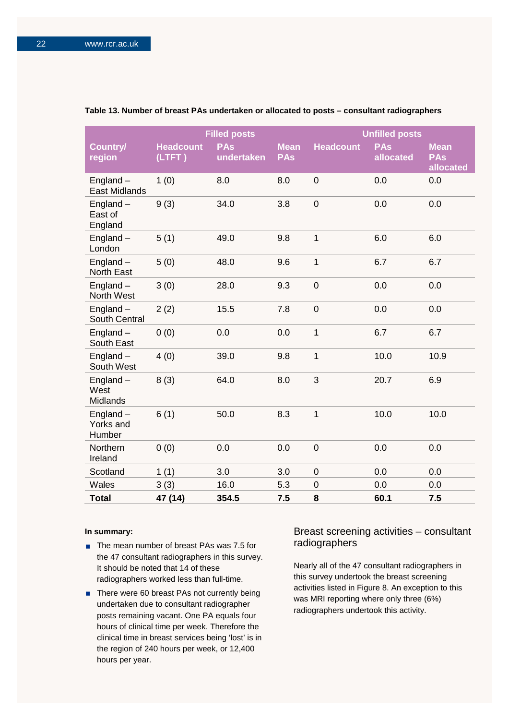|                                     |                            | <b>Filled posts</b>      |                           |                  | <b>Unfilled posts</b>   |                                        |
|-------------------------------------|----------------------------|--------------------------|---------------------------|------------------|-------------------------|----------------------------------------|
| Country/<br>region                  | <b>Headcount</b><br>(LTFT) | <b>PAs</b><br>undertaken | <b>Mean</b><br><b>PAs</b> | <b>Headcount</b> | <b>PAs</b><br>allocated | <b>Mean</b><br><b>PAs</b><br>allocated |
| England $-$<br><b>East Midlands</b> | 1(0)                       | 8.0                      | 8.0                       | $\overline{0}$   | 0.0                     | 0.0                                    |
| England-<br>East of<br>England      | 9(3)                       | 34.0                     | 3.8                       | $\mathbf 0$      | 0.0                     | 0.0                                    |
| England $-$<br>London               | 5(1)                       | 49.0                     | 9.8                       | $\mathbf 1$      | 6.0                     | 6.0                                    |
| $England -$<br><b>North East</b>    | 5(0)                       | 48.0                     | 9.6                       | 1                | 6.7                     | 6.7                                    |
| England-<br>North West              | 3(0)                       | 28.0                     | 9.3                       | $\mathbf 0$      | 0.0                     | 0.0                                    |
| England-<br>South Central           | 2(2)                       | 15.5                     | 7.8                       | $\mathbf 0$      | 0.0                     | 0.0                                    |
| $England -$<br>South East           | 0(0)                       | 0.0                      | 0.0                       | 1                | 6.7                     | 6.7                                    |
| England-<br>South West              | 4(0)                       | 39.0                     | 9.8                       | $\mathbf 1$      | 10.0                    | 10.9                                   |
| England-<br>West<br>Midlands        | 8(3)                       | 64.0                     | 8.0                       | 3                | 20.7                    | 6.9                                    |
| England $-$<br>Yorks and<br>Humber  | 6(1)                       | 50.0                     | 8.3                       | $\overline{1}$   | 10.0                    | 10.0                                   |
| Northern<br>Ireland                 | 0(0)                       | 0.0                      | 0.0                       | $\mathbf 0$      | 0.0                     | 0.0                                    |
| Scotland                            | 1(1)                       | 3.0                      | 3.0                       | 0                | 0.0                     | 0.0                                    |
| Wales                               | 3(3)                       | 16.0                     | 5.3                       | 0                | 0.0                     | 0.0                                    |
| <b>Total</b>                        | 47 (14)                    | 354.5                    | 7.5                       | 8                | 60.1                    | 7.5                                    |

#### **Table 13. Number of breast PAs undertaken or allocated to posts – consultant radiographers**

#### **In summary:**

- The mean number of breast PAs was 7.5 for the 47 consultant radiographers in this survey. It should be noted that 14 of these radiographers worked less than full-time.
- There were 60 breast PAs not currently being undertaken due to consultant radiographer posts remaining vacant. One PA equals four hours of clinical time per week. Therefore the clinical time in breast services being 'lost' is in the region of 240 hours per week, or 12,400 hours per year.

## Breast screening activities – consultant radiographers

Nearly all of the 47 consultant radiographers in this survey undertook the breast screening activities listed in Figure 8. An exception to this was MRI reporting where only three (6%) radiographers undertook this activity.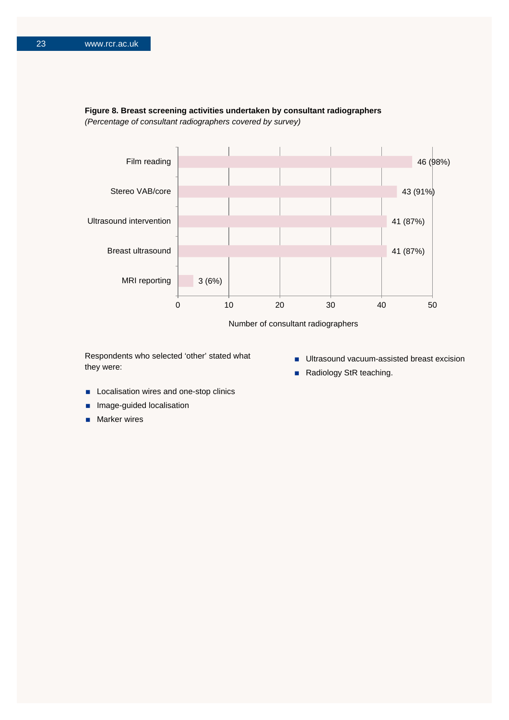



Respondents who selected 'other' stated what they were:

- **Ultrasound vacuum-assisted breast excision**
- Radiology StR teaching.
- **Localisation wires and one-stop clinics**
- Image-guided localisation
- **Marker wires**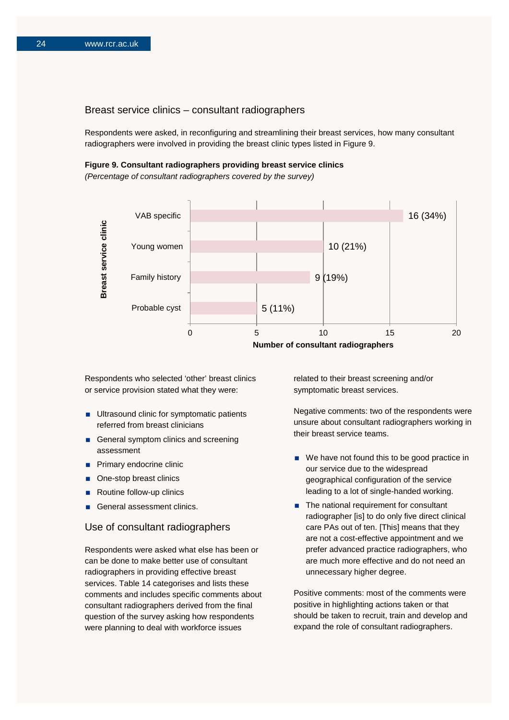### Breast service clinics – consultant radiographers

Respondents were asked, in reconfiguring and streamlining their breast services, how many consultant radiographers were involved in providing the breast clinic types listed in Figure 9.

#### **Figure 9. Consultant radiographers providing breast service clinics**

*(Percentage of consultant radiographers covered by the survey)*



Respondents who selected 'other' breast clinics or service provision stated what they were:

- **Ultrasound clinic for symptomatic patients** referred from breast clinicians
- General symptom clinics and screening assessment
- **Primary endocrine clinic**
- One-stop breast clinics
- Routine follow-up clinics
- General assessment clinics.

### Use of consultant radiographers

Respondents were asked what else has been or can be done to make better use of consultant radiographers in providing effective breast services. Table 14 categorises and lists these comments and includes specific comments about consultant radiographers derived from the final question of the survey asking how respondents were planning to deal with workforce issues

related to their breast screening and/or symptomatic breast services.

Negative comments: two of the respondents were unsure about consultant radiographers working in their breast service teams.

- We have not found this to be good practice in our service due to the widespread geographical configuration of the service leading to a lot of single-handed working.
- The national requirement for consultant radiographer [is] to do only five direct clinical care PAs out of ten. [This] means that they are not a cost-effective appointment and we prefer advanced practice radiographers, who are much more effective and do not need an unnecessary higher degree.

Positive comments: most of the comments were positive in highlighting actions taken or that should be taken to recruit, train and develop and expand the role of consultant radiographers.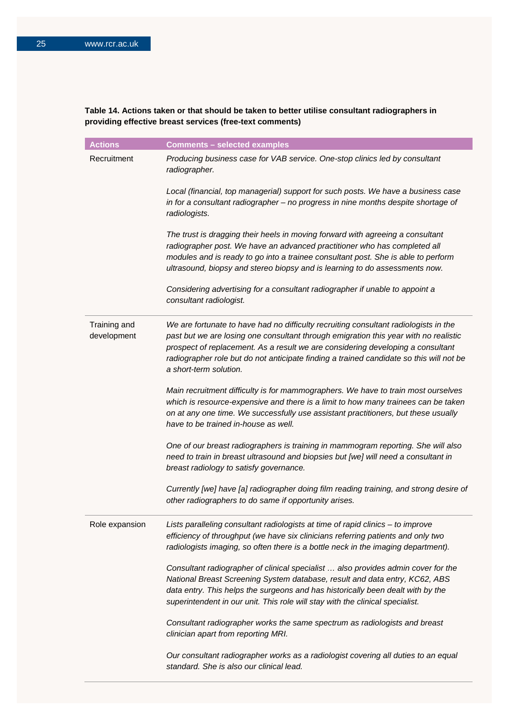## **Table 14. Actions taken or that should be taken to better utilise consultant radiographers in providing effective breast services (free-text comments)**

| <b>Actions</b>              | <b>Comments - selected examples</b>                                                                                                                                                                                                                                                                                                                                                  |
|-----------------------------|--------------------------------------------------------------------------------------------------------------------------------------------------------------------------------------------------------------------------------------------------------------------------------------------------------------------------------------------------------------------------------------|
| Recruitment                 | Producing business case for VAB service. One-stop clinics led by consultant<br>radiographer.                                                                                                                                                                                                                                                                                         |
|                             | Local (financial, top managerial) support for such posts. We have a business case<br>in for a consultant radiographer - no progress in nine months despite shortage of<br>radiologists.                                                                                                                                                                                              |
|                             | The trust is dragging their heels in moving forward with agreeing a consultant<br>radiographer post. We have an advanced practitioner who has completed all<br>modules and is ready to go into a trainee consultant post. She is able to perform<br>ultrasound, biopsy and stereo biopsy and is learning to do assessments now.                                                      |
|                             | Considering advertising for a consultant radiographer if unable to appoint a<br>consultant radiologist.                                                                                                                                                                                                                                                                              |
| Training and<br>development | We are fortunate to have had no difficulty recruiting consultant radiologists in the<br>past but we are losing one consultant through emigration this year with no realistic<br>prospect of replacement. As a result we are considering developing a consultant<br>radiographer role but do not anticipate finding a trained candidate so this will not be<br>a short-term solution. |
|                             | Main recruitment difficulty is for mammographers. We have to train most ourselves<br>which is resource-expensive and there is a limit to how many trainees can be taken<br>on at any one time. We successfully use assistant practitioners, but these usually<br>have to be trained in-house as well.                                                                                |
|                             | One of our breast radiographers is training in mammogram reporting. She will also<br>need to train in breast ultrasound and biopsies but [we] will need a consultant in<br>breast radiology to satisfy governance.                                                                                                                                                                   |
|                             | Currently [we] have [a] radiographer doing film reading training, and strong desire of<br>other radiographers to do same if opportunity arises.                                                                                                                                                                                                                                      |
| Role expansion              | Lists paralleling consultant radiologists at time of rapid clinics - to improve<br>efficiency of throughput (we have six clinicians referring patients and only two<br>radiologists imaging, so often there is a bottle neck in the imaging department).                                                                                                                             |
|                             | Consultant radiographer of clinical specialist  also provides admin cover for the<br>National Breast Screening System database, result and data entry, KC62, ABS<br>data entry. This helps the surgeons and has historically been dealt with by the<br>superintendent in our unit. This role will stay with the clinical specialist.                                                 |
|                             | Consultant radiographer works the same spectrum as radiologists and breast<br>clinician apart from reporting MRI.                                                                                                                                                                                                                                                                    |
|                             | Our consultant radiographer works as a radiologist covering all duties to an equal<br>standard. She is also our clinical lead.                                                                                                                                                                                                                                                       |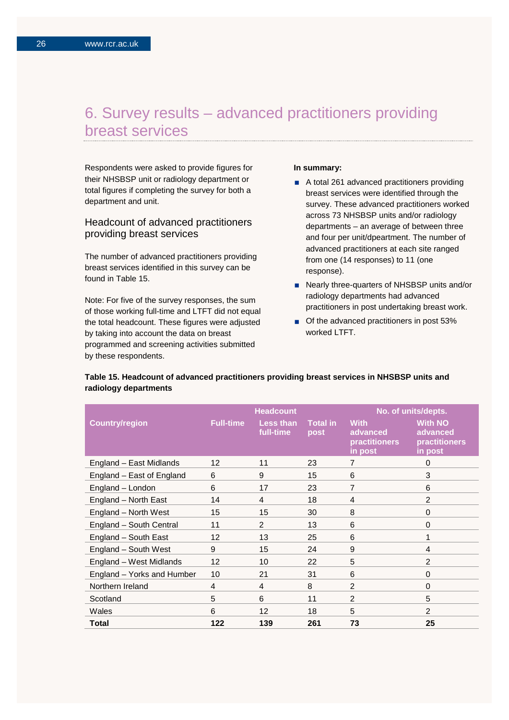## 6. Survey results – advanced practitioners providing breast services

Respondents were asked to provide figures for their NHSBSP unit or radiology department or total figures if completing the survey for both a department and unit.

## Headcount of advanced practitioners providing breast services

The number of advanced practitioners providing breast services identified in this survey can be found in Table 15.

Note: For five of the survey responses, the sum of those working full-time and LTFT did not equal the total headcount. These figures were adjusted by taking into account the data on breast programmed and screening activities submitted by these respondents.

#### **In summary:**

- A total 261 advanced practitioners providing breast services were identified through the survey. These advanced practitioners worked across 73 NHSBSP units and/or radiology departments – an average of between three and four per unit/dpeartment. The number of advanced practitioners at each site ranged from one (14 responses) to 11 (one response).
- Nearly three-quarters of NHSBSP units and/or radiology departments had advanced practitioners in post undertaking breast work.
- Of the advanced practitioners in post 53% worked LTFT.

|                            |                  | <b>Headcount</b>       |                         |                                                     | No. of units/depts.                                           |
|----------------------------|------------------|------------------------|-------------------------|-----------------------------------------------------|---------------------------------------------------------------|
| <b>Country/region</b>      | <b>Full-time</b> | Less than<br>full-time | <b>Total in</b><br>post | <b>With</b><br>advanced<br>practitioners<br>in post | <b>With NO</b><br>advanced<br><b>practitioners</b><br>in post |
| England - East Midlands    | 12               | 11                     | 23                      | 7                                                   | $\Omega$                                                      |
| England - East of England  | 6                | 9                      | 15                      | 6                                                   | 3                                                             |
| England - London           | 6                | 17                     | 23                      | $\overline{7}$                                      | 6                                                             |
| England - North East       | 14               | $\overline{4}$         | 18                      | $\overline{4}$                                      | 2                                                             |
| England - North West       | 15               | 15                     | 30                      | 8                                                   | $\Omega$                                                      |
| England - South Central    | 11               | $\mathfrak{p}$         | 13                      | 6                                                   | $\Omega$                                                      |
| England - South East       | 12               | 13                     | 25                      | 6                                                   | 1                                                             |
| England - South West       | 9                | 15                     | 24                      | 9                                                   | 4                                                             |
| England - West Midlands    | 12               | 10                     | 22                      | 5                                                   | $\overline{2}$                                                |
| England - Yorks and Humber | 10               | 21                     | 31                      | 6                                                   | $\Omega$                                                      |
| Northern Ireland           | 4                | 4                      | 8                       | $\mathfrak{p}$                                      | $\Omega$                                                      |
| Scotland                   | 5                | 6                      | 11                      | 2                                                   | 5                                                             |
| Wales                      | 6                | 12                     | 18                      | 5                                                   | 2                                                             |
| Total                      | 122              | 139                    | 261                     | 73                                                  | 25                                                            |

#### **Table 15. Headcount of advanced practitioners providing breast services in NHSBSP units and radiology departments**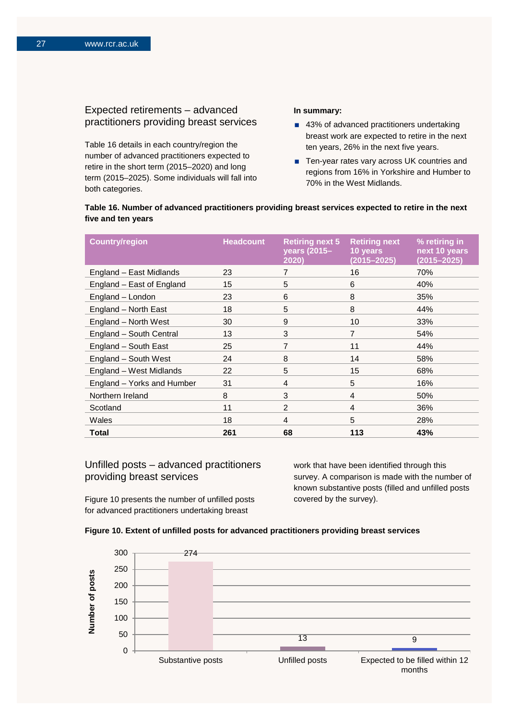## Expected retirements – advanced practitioners providing breast services

Table 16 details in each country/region the number of advanced practitioners expected to retire in the short term (2015–2020) and long term (2015–2025). Some individuals will fall into both categories.

#### **In summary:**

- 43% of advanced practitioners undertaking breast work are expected to retire in the next ten years, 26% in the next five years.
- Ten-year rates vary across UK countries and regions from 16% in Yorkshire and Humber to 70% in the West Midlands.

### **Table 16. Number of advanced practitioners providing breast services expected to retire in the next five and ten years**

| <b>Country/region</b>      | <b>Headcount</b> | <b>Retiring next 5</b><br>years (2015-<br>2020) | <b>Retiring next</b><br>10 years<br>$(2015 - 2025)$ | % retiring in<br>next 10 years<br>$(2015 - 2025)$ |
|----------------------------|------------------|-------------------------------------------------|-----------------------------------------------------|---------------------------------------------------|
| England - East Midlands    | 23               | 7                                               | 16                                                  | 70%                                               |
| England - East of England  | 15               | 5                                               | 6                                                   | 40%                                               |
| England - London           | 23               | 6                                               | 8                                                   | 35%                                               |
| England - North East       | 18               | 5                                               | 8                                                   | 44%                                               |
| England - North West       | 30               | 9                                               | 10 <sup>1</sup>                                     | 33%                                               |
| England - South Central    | 13               | 3                                               | 7                                                   | 54%                                               |
| England - South East       | 25               | 7                                               | 11                                                  | 44%                                               |
| England - South West       | 24               | 8                                               | 14                                                  | 58%                                               |
| England - West Midlands    | 22               | 5                                               | 15                                                  | 68%                                               |
| England - Yorks and Humber | 31               | 4                                               | 5                                                   | 16%                                               |
| Northern Ireland           | 8                | 3                                               | 4                                                   | 50%                                               |
| Scotland                   | 11               | 2                                               | 4                                                   | 36%                                               |
| Wales                      | 18               | $\overline{4}$                                  | 5                                                   | 28%                                               |
| Total                      | 261              | 68                                              | 113                                                 | 43%                                               |

## Unfilled posts – advanced practitioners providing breast services

Figure 10 presents the number of unfilled posts for advanced practitioners undertaking breast

work that have been identified through this survey. A comparison is made with the number of known substantive posts (filled and unfilled posts covered by the survey).



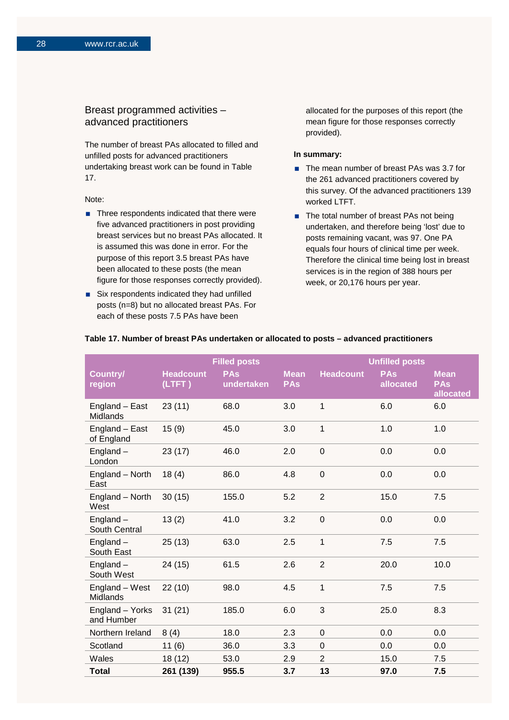## Breast programmed activities – advanced practitioners

The number of breast PAs allocated to filled and unfilled posts for advanced practitioners undertaking breast work can be found in Table 17.

#### Note:

- $\blacksquare$  Three respondents indicated that there were five advanced practitioners in post providing breast services but no breast PAs allocated. It is assumed this was done in error. For the purpose of this report 3.5 breast PAs have been allocated to these posts (the mean figure for those responses correctly provided).
- Six respondents indicated they had unfilled posts (n=8) but no allocated breast PAs. For each of these posts 7.5 PAs have been

allocated for the purposes of this report (the mean figure for those responses correctly provided).

#### **In summary:**

- The mean number of breast PAs was 3.7 for the 261 advanced practitioners covered by this survey. Of the advanced practitioners 139 worked LTFT.
- The total number of breast PAs not being undertaken, and therefore being 'lost' due to posts remaining vacant, was 97. One PA equals four hours of clinical time per week. Therefore the clinical time being lost in breast services is in the region of 388 hours per week, or 20,176 hours per year.

|                               |                            | <b>Filled posts</b>      |                           |                  | <b>Unfilled posts</b>   |                                        |
|-------------------------------|----------------------------|--------------------------|---------------------------|------------------|-------------------------|----------------------------------------|
| Country/<br>region            | <b>Headcount</b><br>(LTFT) | <b>PAs</b><br>undertaken | <b>Mean</b><br><b>PAs</b> | <b>Headcount</b> | <b>PAs</b><br>allocated | <b>Mean</b><br><b>PAs</b><br>allocated |
| England - East<br>Midlands    | 23(11)                     | 68.0                     | 3.0                       | 1                | 6.0                     | 6.0                                    |
| England - East<br>of England  | 15(9)                      | 45.0                     | 3.0                       | 1                | 1.0                     | 1.0                                    |
| England $-$<br>London         | 23(17)                     | 46.0                     | 2.0                       | $\mathbf 0$      | 0.0                     | 0.0                                    |
| England - North<br>East       | 18(4)                      | 86.0                     | 4.8                       | $\mathbf 0$      | 0.0                     | 0.0                                    |
| England - North<br>West       | 30(15)                     | 155.0                    | 5.2                       | $\overline{2}$   | 15.0                    | 7.5                                    |
| England $-$<br>South Central  | 13(2)                      | 41.0                     | 3.2                       | $\overline{0}$   | 0.0                     | 0.0                                    |
| England $-$<br>South East     | 25(13)                     | 63.0                     | 2.5                       | 1                | 7.5                     | 7.5                                    |
| England $-$<br>South West     | 24 (15)                    | 61.5                     | 2.6                       | $\overline{2}$   | 20.0                    | 10.0                                   |
| England - West<br>Midlands    | 22(10)                     | 98.0                     | 4.5                       | $\mathbf{1}$     | 7.5                     | 7.5                                    |
| England - Yorks<br>and Humber | 31(21)                     | 185.0                    | 6.0                       | 3                | 25.0                    | 8.3                                    |
| Northern Ireland              | 8(4)                       | 18.0                     | 2.3                       | $\mathbf 0$      | 0.0                     | 0.0                                    |
| Scotland                      | 11(6)                      | 36.0                     | 3.3                       | 0                | 0.0                     | 0.0                                    |
| Wales                         | 18 (12)                    | 53.0                     | 2.9                       | $\overline{2}$   | 15.0                    | 7.5                                    |
| <b>Total</b>                  | 261 (139)                  | 955.5                    | 3.7                       | 13               | 97.0                    | 7.5                                    |

#### **Table 17. Number of breast PAs undertaken or allocated to posts – advanced practitioners**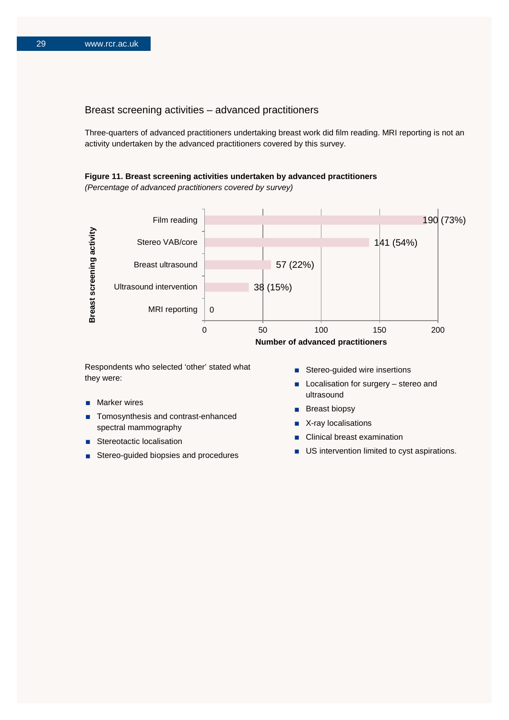### Breast screening activities – advanced practitioners

Three-quarters of advanced practitioners undertaking breast work did film reading. MRI reporting is not an activity undertaken by the advanced practitioners covered by this survey.

#### **Figure 11. Breast screening activities undertaken by advanced practitioners**

*(Percentage of advanced practitioners covered by survey)*



Respondents who selected 'other' stated what they were:

- Marker wires
- Tomosynthesis and contrast-enhanced spectral mammography
- Stereotactic localisation
- Stereo-guided biopsies and procedures
- Stereo-guided wire insertions
- **Localisation for surgery stereo and** ultrasound
- **Breast biopsy**
- X-ray localisations
- Clinical breast examination
- **US** intervention limited to cyst aspirations.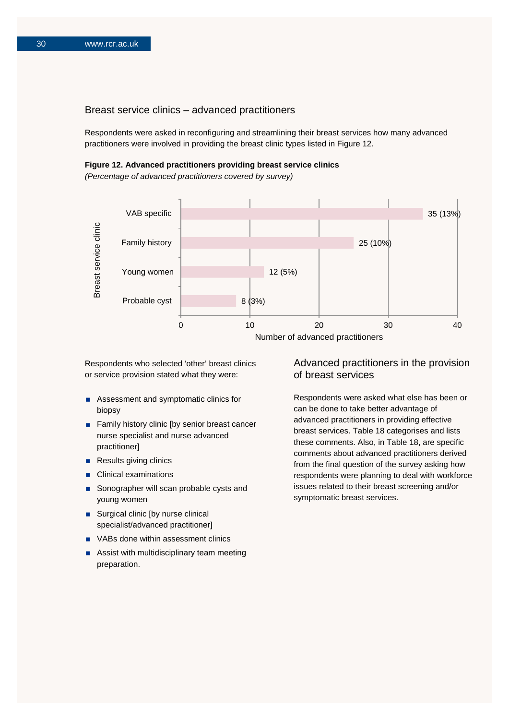### Breast service clinics – advanced practitioners

Respondents were asked in reconfiguring and streamlining their breast services how many advanced practitioners were involved in providing the breast clinic types listed in Figure 12.

#### **Figure 12. Advanced practitioners providing breast service clinics**

*(Percentage of advanced practitioners covered by survey)*



Respondents who selected 'other' breast clinics or service provision stated what they were:

- Assessment and symptomatic clinics for biopsy
- Family history clinic [by senior breast cancer nurse specialist and nurse advanced practitioner]
- Results giving clinics
- **Clinical examinations**
- Sonographer will scan probable cysts and young women
- Surgical clinic [by nurse clinical specialist/advanced practitioner]
- **No. 25 VABs done within assessment clinics**
- **Assist with multidisciplinary team meeting** preparation.

### Advanced practitioners in the provision of breast services

Respondents were asked what else has been or can be done to take better advantage of advanced practitioners in providing effective breast services. Table 18 categorises and lists these comments. Also, in Table 18, are specific comments about advanced practitioners derived from the final question of the survey asking how respondents were planning to deal with workforce issues related to their breast screening and/or symptomatic breast services.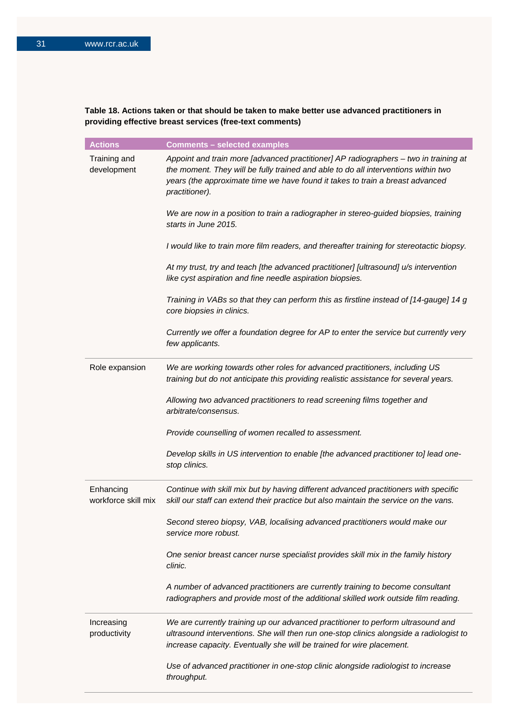## **Table 18. Actions taken or that should be taken to make better use advanced practitioners in providing effective breast services (free-text comments)**

| <b>Actions</b>                   | <b>Comments - selected examples</b>                                                                                                                                                                                                                                           |
|----------------------------------|-------------------------------------------------------------------------------------------------------------------------------------------------------------------------------------------------------------------------------------------------------------------------------|
| Training and<br>development      | Appoint and train more [advanced practitioner] AP radiographers - two in training at<br>the moment. They will be fully trained and able to do all interventions within two<br>years (the approximate time we have found it takes to train a breast advanced<br>practitioner). |
|                                  | We are now in a position to train a radiographer in stereo-guided biopsies, training<br>starts in June 2015.                                                                                                                                                                  |
|                                  | I would like to train more film readers, and thereafter training for stereotactic biopsy.                                                                                                                                                                                     |
|                                  | At my trust, try and teach [the advanced practitioner] [ultrasound] u/s intervention<br>like cyst aspiration and fine needle aspiration biopsies.                                                                                                                             |
|                                  | Training in VABs so that they can perform this as firstline instead of [14-gauge] 14 g<br>core biopsies in clinics.                                                                                                                                                           |
|                                  | Currently we offer a foundation degree for AP to enter the service but currently very<br>few applicants.                                                                                                                                                                      |
| Role expansion                   | We are working towards other roles for advanced practitioners, including US<br>training but do not anticipate this providing realistic assistance for several years.                                                                                                          |
|                                  | Allowing two advanced practitioners to read screening films together and<br>arbitrate/consensus.                                                                                                                                                                              |
|                                  | Provide counselling of women recalled to assessment.                                                                                                                                                                                                                          |
|                                  | Develop skills in US intervention to enable [the advanced practitioner to] lead one-<br>stop clinics.                                                                                                                                                                         |
| Enhancing<br>workforce skill mix | Continue with skill mix but by having different advanced practitioners with specific<br>skill our staff can extend their practice but also maintain the service on the vans.                                                                                                  |
|                                  | Second stereo biopsy, VAB, localising advanced practitioners would make our<br>service more robust.                                                                                                                                                                           |
|                                  | One senior breast cancer nurse specialist provides skill mix in the family history<br>clinic.                                                                                                                                                                                 |
|                                  | A number of advanced practitioners are currently training to become consultant<br>radiographers and provide most of the additional skilled work outside film reading.                                                                                                         |
| Increasing<br>productivity       | We are currently training up our advanced practitioner to perform ultrasound and<br>ultrasound interventions. She will then run one-stop clinics alongside a radiologist to<br>increase capacity. Eventually she will be trained for wire placement.                          |
|                                  | Use of advanced practitioner in one-stop clinic alongside radiologist to increase<br>throughput.                                                                                                                                                                              |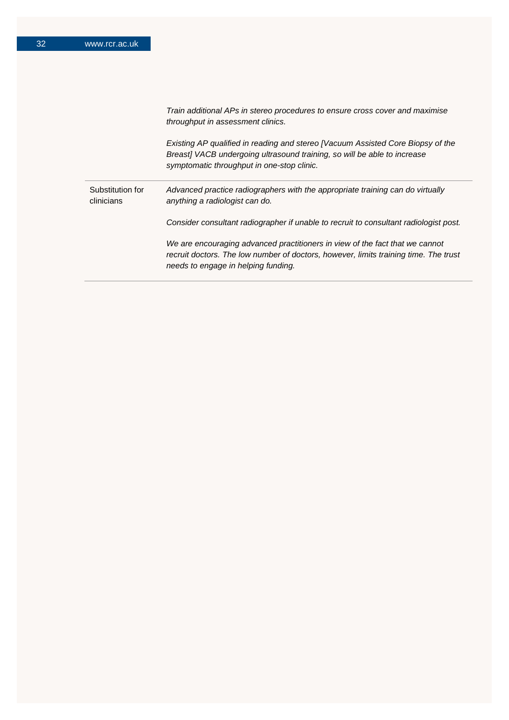|                                | Train additional APs in stereo procedures to ensure cross cover and maximise<br>throughput in assessment clinics.                                                                                           |
|--------------------------------|-------------------------------------------------------------------------------------------------------------------------------------------------------------------------------------------------------------|
|                                | Existing AP qualified in reading and stereo [Vacuum Assisted Core Biopsy of the<br>Breast] VACB undergoing ultrasound training, so will be able to increase<br>symptomatic throughput in one-stop clinic.   |
| Substitution for<br>clinicians | Advanced practice radiographers with the appropriate training can do virtually<br>anything a radiologist can do.                                                                                            |
|                                | Consider consultant radiographer if unable to recruit to consultant radiologist post.                                                                                                                       |
|                                | We are encouraging advanced practitioners in view of the fact that we cannot<br>recruit doctors. The low number of doctors, however, limits training time. The trust<br>needs to engage in helping funding. |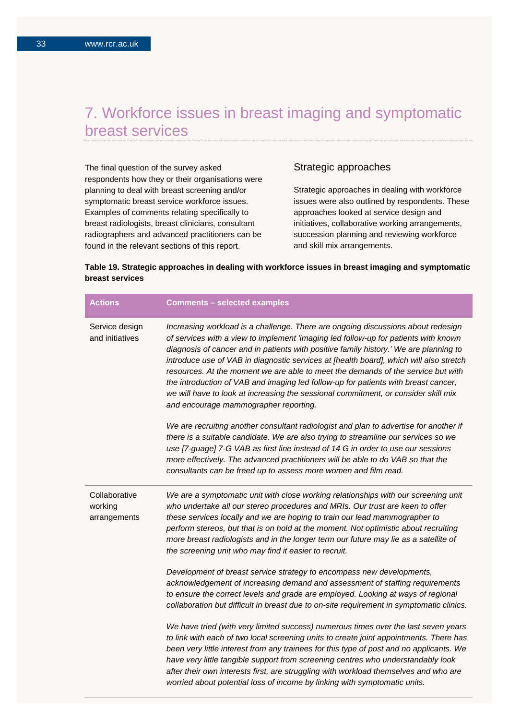## 7. Workforce issues in breast imaging and symptomatic breast services

The final question of the survey asked respondents how they or their organisations were planning to deal with breast screening and/or symptomatic breast service workforce issues. Examples of comments relating specifically to breast radiologists, breast clinicians, consultant radiographers and advanced practitioners can be found in the relevant sections of this report.

## Strategic approaches

Strategic approaches in dealing with workforce issues were also outlined by respondents. These approaches looked at service design and initiatives, collaborative working arrangements, succession planning and reviewing workforce and skill mix arrangements.

## **Table 19. Strategic approaches in dealing with workforce issues in breast imaging and symptomatic breast services**

| <b>Actions</b>                           | <b>Comments - selected examples</b>                                                                                                                                                                                                                                                                                                                                                                                                                                                                                                                                                                                                                                 |
|------------------------------------------|---------------------------------------------------------------------------------------------------------------------------------------------------------------------------------------------------------------------------------------------------------------------------------------------------------------------------------------------------------------------------------------------------------------------------------------------------------------------------------------------------------------------------------------------------------------------------------------------------------------------------------------------------------------------|
| Service design<br>and initiatives        | Increasing workload is a challenge. There are ongoing discussions about redesign<br>of services with a view to implement 'imaging led follow-up for patients with known<br>diagnosis of cancer and in patients with positive family history.' We are planning to<br>introduce use of VAB in diagnostic services at [health board], which will also stretch<br>resources. At the moment we are able to meet the demands of the service but with<br>the introduction of VAB and imaging led follow-up for patients with breast cancer,<br>we will have to look at increasing the sessional commitment, or consider skill mix<br>and encourage mammographer reporting. |
|                                          | We are recruiting another consultant radiologist and plan to advertise for another if<br>there is a suitable candidate. We are also trying to streamline our services so we<br>use [7-guage] 7-G VAB as first line instead of 14 G in order to use our sessions<br>more effectively. The advanced practitioners will be able to do VAB so that the<br>consultants can be freed up to assess more women and film read.                                                                                                                                                                                                                                               |
| Collaborative<br>working<br>arrangements | We are a symptomatic unit with close working relationships with our screening unit<br>who undertake all our stereo procedures and MRIs. Our trust are keen to offer<br>these services locally and we are hoping to train our lead mammographer to<br>perform stereos, but that is on hold at the moment. Not optimistic about recruiting<br>more breast radiologists and in the longer term our future may lie as a satellite of<br>the screening unit who may find it easier to recruit.                                                                                                                                                                           |
|                                          | Development of breast service strategy to encompass new developments,<br>acknowledgement of increasing demand and assessment of staffing requirements<br>to ensure the correct levels and grade are employed. Looking at ways of regional<br>collaboration but difficult in breast due to on-site requirement in symptomatic clinics.                                                                                                                                                                                                                                                                                                                               |
|                                          | We have tried (with very limited success) numerous times over the last seven years<br>to link with each of two local screening units to create joint appointments. There has<br>been very little interest from any trainees for this type of post and no applicants. We<br>have very little tangible support from screening centres who understandably look<br>after their own interests first, are struggling with workload themselves and who are<br>worried about potential loss of income by linking with symptomatic units.                                                                                                                                    |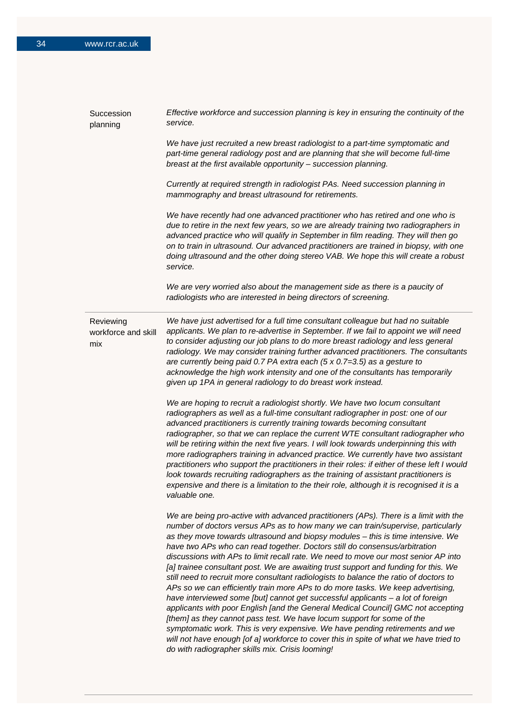| Succession<br>planning                  | Effective workforce and succession planning is key in ensuring the continuity of the<br>service.                                                                                                                                                                                                                                                                                                                                                                                                                                                                                                                                                                                                                                                                                                                                                                                                                                                                                                                                                                                                                                                                                 |
|-----------------------------------------|----------------------------------------------------------------------------------------------------------------------------------------------------------------------------------------------------------------------------------------------------------------------------------------------------------------------------------------------------------------------------------------------------------------------------------------------------------------------------------------------------------------------------------------------------------------------------------------------------------------------------------------------------------------------------------------------------------------------------------------------------------------------------------------------------------------------------------------------------------------------------------------------------------------------------------------------------------------------------------------------------------------------------------------------------------------------------------------------------------------------------------------------------------------------------------|
|                                         | We have just recruited a new breast radiologist to a part-time symptomatic and<br>part-time general radiology post and are planning that she will become full-time<br>breast at the first available opportunity - succession planning.                                                                                                                                                                                                                                                                                                                                                                                                                                                                                                                                                                                                                                                                                                                                                                                                                                                                                                                                           |
|                                         | Currently at required strength in radiologist PAs. Need succession planning in<br>mammography and breast ultrasound for retirements.                                                                                                                                                                                                                                                                                                                                                                                                                                                                                                                                                                                                                                                                                                                                                                                                                                                                                                                                                                                                                                             |
|                                         | We have recently had one advanced practitioner who has retired and one who is<br>due to retire in the next few years, so we are already training two radiographers in<br>advanced practice who will qualify in September in film reading. They will then go<br>on to train in ultrasound. Our advanced practitioners are trained in biopsy, with one<br>doing ultrasound and the other doing stereo VAB. We hope this will create a robust<br>service.                                                                                                                                                                                                                                                                                                                                                                                                                                                                                                                                                                                                                                                                                                                           |
|                                         | We are very worried also about the management side as there is a paucity of<br>radiologists who are interested in being directors of screening.                                                                                                                                                                                                                                                                                                                                                                                                                                                                                                                                                                                                                                                                                                                                                                                                                                                                                                                                                                                                                                  |
| Reviewing<br>workforce and skill<br>mix | We have just advertised for a full time consultant colleague but had no suitable<br>applicants. We plan to re-advertise in September. If we fail to appoint we will need<br>to consider adjusting our job plans to do more breast radiology and less general<br>radiology. We may consider training further advanced practitioners. The consultants<br>are currently being paid 0.7 PA extra each (5 x 0.7=3.5) as a gesture to<br>acknowledge the high work intensity and one of the consultants has temporarily<br>given up 1PA in general radiology to do breast work instead.                                                                                                                                                                                                                                                                                                                                                                                                                                                                                                                                                                                                |
|                                         | We are hoping to recruit a radiologist shortly. We have two locum consultant<br>radiographers as well as a full-time consultant radiographer in post: one of our<br>advanced practitioners is currently training towards becoming consultant<br>radiographer, so that we can replace the current WTE consultant radiographer who<br>will be retiring within the next five years. I will look towards underpinning this with<br>more radiographers training in advanced practice. We currently have two assistant<br>practitioners who support the practitioners in their roles: if either of these left I would<br>look towards recruiting radiographers as the training of assistant practitioners is<br>expensive and there is a limitation to the their role, although it is recognised it is a<br>valuable one.                                                                                                                                                                                                                                                                                                                                                              |
|                                         | We are being pro-active with advanced practitioners (APs). There is a limit with the<br>number of doctors versus APs as to how many we can train/supervise, particularly<br>as they move towards ultrasound and biopsy modules - this is time intensive. We<br>have two APs who can read together. Doctors still do consensus/arbitration<br>discussions with APs to limit recall rate. We need to move our most senior AP into<br>[a] trainee consultant post. We are awaiting trust support and funding for this. We<br>still need to recruit more consultant radiologists to balance the ratio of doctors to<br>APs so we can efficiently train more APs to do more tasks. We keep advertising,<br>have interviewed some [but] cannot get successful applicants - a lot of foreign<br>applicants with poor English [and the General Medical Council] GMC not accepting<br>[them] as they cannot pass test. We have locum support for some of the<br>symptomatic work. This is very expensive. We have pending retirements and we<br>will not have enough [of a] workforce to cover this in spite of what we have tried to<br>do with radiographer skills mix. Crisis looming! |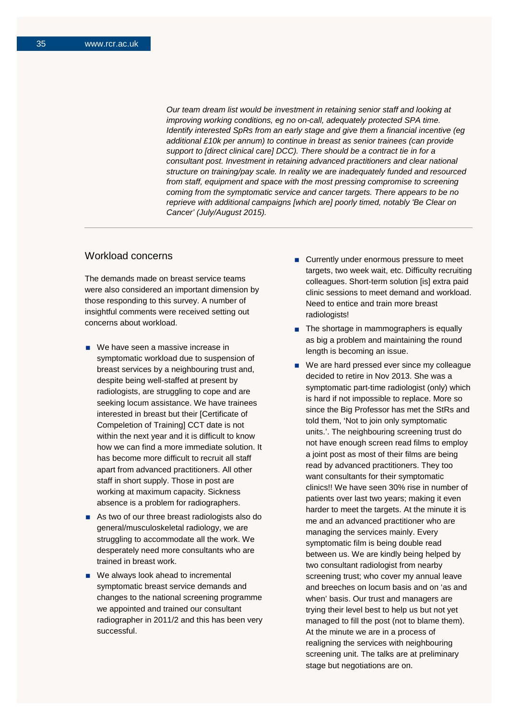*Our team dream list would be investment in retaining senior staff and looking at improving working conditions, eg no on-call, adequately protected SPA time. Identify interested SpRs from an early stage and give them a financial incentive (eg additional £10k per annum) to continue in breast as senior trainees (can provide support to [direct clinical care] DCC). There should be a contract tie in for a consultant post. Investment in retaining advanced practitioners and clear national structure on training/pay scale. In reality we are inadequately funded and resourced from staff, equipment and space with the most pressing compromise to screening coming from the symptomatic service and cancer targets. There appears to be no reprieve with additional campaigns [which are] poorly timed, notably 'Be Clear on Cancer' (July/August 2015).*

## Workload concerns

The demands made on breast service teams were also considered an important dimension by those responding to this survey. A number of insightful comments were received setting out concerns about workload.

- We have seen a massive increase in symptomatic workload due to suspension of breast services by a neighbouring trust and, despite being well-staffed at present by radiologists, are struggling to cope and are seeking locum assistance. We have trainees interested in breast but their [Certificate of Compeletion of Training] CCT date is not within the next year and it is difficult to know how we can find a more immediate solution. It has become more difficult to recruit all staff apart from advanced practitioners. All other staff in short supply. Those in post are working at maximum capacity. Sickness absence is a problem for radiographers.
- As two of our three breast radiologists also do general/musculoskeletal radiology, we are struggling to accommodate all the work. We desperately need more consultants who are trained in breast work.
- We always look ahead to incremental symptomatic breast service demands and changes to the national screening programme we appointed and trained our consultant radiographer in 2011/2 and this has been very successful.
- Currently under enormous pressure to meet targets, two week wait, etc. Difficulty recruiting colleagues. Short-term solution [is] extra paid clinic sessions to meet demand and workload. Need to entice and train more breast radiologists!
- $\blacksquare$  The shortage in mammographers is equally as big a problem and maintaining the round length is becoming an issue.
- We are hard pressed ever since my colleague decided to retire in Nov 2013. She was a symptomatic part-time radiologist (only) which is hard if not impossible to replace. More so since the Big Professor has met the StRs and told them, 'Not to join only symptomatic units.'. The neighbouring screening trust do not have enough screen read films to employ a joint post as most of their films are being read by advanced practitioners. They too want consultants for their symptomatic clinics!! We have seen 30% rise in number of patients over last two years; making it even harder to meet the targets. At the minute it is me and an advanced practitioner who are managing the services mainly. Every symptomatic film is being double read between us. We are kindly being helped by two consultant radiologist from nearby screening trust; who cover my annual leave and breeches on locum basis and on 'as and when' basis. Our trust and managers are trying their level best to help us but not yet managed to fill the post (not to blame them). At the minute we are in a process of realigning the services with neighbouring screening unit. The talks are at preliminary stage but negotiations are on.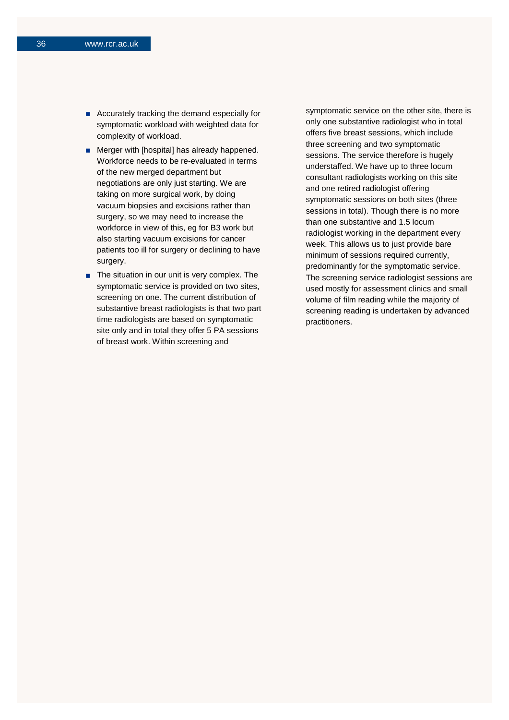- Accurately tracking the demand especially for symptomatic workload with weighted data for complexity of workload.
- **Merger with [hospital] has already happened.** Workforce needs to be re-evaluated in terms of the new merged department but negotiations are only just starting. We are taking on more surgical work, by doing vacuum biopsies and excisions rather than surgery, so we may need to increase the workforce in view of this, eg for B3 work but also starting vacuum excisions for cancer patients too ill for surgery or declining to have surgery.
- $\blacksquare$  The situation in our unit is very complex. The symptomatic service is provided on two sites, screening on one. The current distribution of substantive breast radiologists is that two part time radiologists are based on symptomatic site only and in total they offer 5 PA sessions of breast work. Within screening and

symptomatic service on the other site, there is only one substantive radiologist who in total offers five breast sessions, which include three screening and two symptomatic sessions. The service therefore is hugely understaffed. We have up to three locum consultant radiologists working on this site and one retired radiologist offering symptomatic sessions on both sites (three sessions in total). Though there is no more than one substantive and 1.5 locum radiologist working in the department every week. This allows us to just provide bare minimum of sessions required currently, predominantly for the symptomatic service. The screening service radiologist sessions are used mostly for assessment clinics and small volume of film reading while the majority of screening reading is undertaken by advanced practitioners.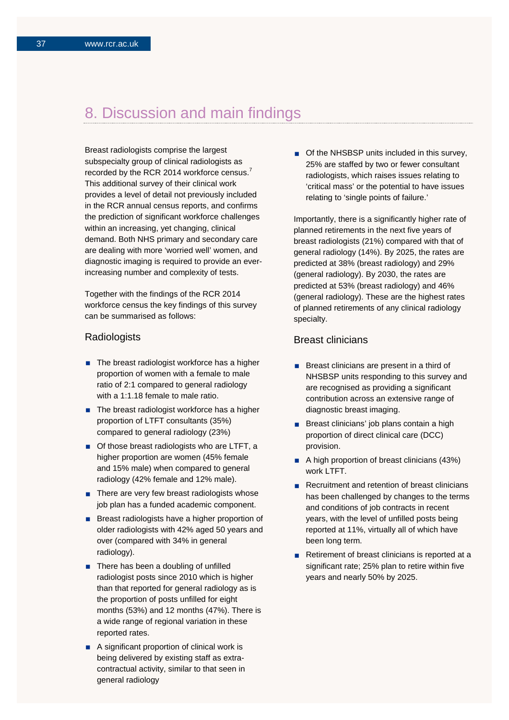## 8. Discussion and main findings

Breast radiologists comprise the largest subspecialty group of clinical radiologists as recorded by the RCR 2014 workforce census.<sup>7</sup> This additional survey of their clinical work provides a level of detail not previously included in the RCR annual census reports, and confirms the prediction of significant workforce challenges within an increasing, yet changing, clinical demand. Both NHS primary and secondary care are dealing with more 'worried well' women, and diagnostic imaging is required to provide an everincreasing number and complexity of tests.

Together with the findings of the RCR 2014 workforce census the key findings of this survey can be summarised as follows:

#### **Radiologists**

- $\blacksquare$  The breast radiologist workforce has a higher proportion of women with a female to male ratio of 2:1 compared to general radiology with a 1:1.18 female to male ratio.
- The breast radiologist workforce has a higher proportion of LTFT consultants (35%) compared to general radiology (23%)
- Of those breast radiologists who are LTFT, a higher proportion are women (45% female and 15% male) when compared to general radiology (42% female and 12% male).
- $\blacksquare$  There are very few breast radiologists whose job plan has a funded academic component.
- Breast radiologists have a higher proportion of older radiologists with 42% aged 50 years and over (compared with 34% in general radiology).
- There has been a doubling of unfilled radiologist posts since 2010 which is higher than that reported for general radiology as is the proportion of posts unfilled for eight months (53%) and 12 months (47%). There is a wide range of regional variation in these reported rates.
- A significant proportion of clinical work is being delivered by existing staff as extracontractual activity, similar to that seen in general radiology

■ Of the NHSBSP units included in this survey, 25% are staffed by two or fewer consultant radiologists, which raises issues relating to 'critical mass' or the potential to have issues relating to 'single points of failure.'

Importantly, there is a significantly higher rate of planned retirements in the next five years of breast radiologists (21%) compared with that of general radiology (14%). By 2025, the rates are predicted at 38% (breast radiology) and 29% (general radiology). By 2030, the rates are predicted at 53% (breast radiology) and 46% (general radiology). These are the highest rates of planned retirements of any clinical radiology specialty.

### Breast clinicians

- Breast clinicians are present in a third of NHSBSP units responding to this survey and are recognised as providing a significant contribution across an extensive range of diagnostic breast imaging.
- Breast clinicians' job plans contain a high proportion of direct clinical care (DCC) provision.
- A high proportion of breast clinicians (43%) work LTFT.
- Recruitment and retention of breast clinicians has been challenged by changes to the terms and conditions of job contracts in recent years, with the level of unfilled posts being reported at 11%, virtually all of which have been long term.
- Retirement of breast clinicians is reported at a significant rate; 25% plan to retire within five years and nearly 50% by 2025.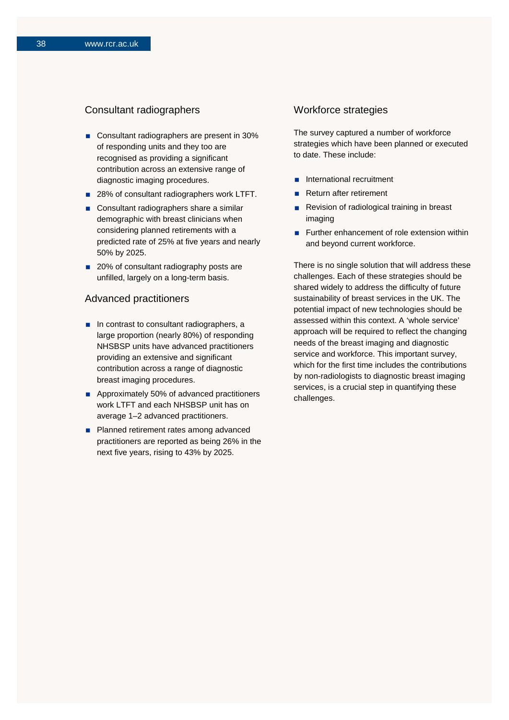## Consultant radiographers

- Consultant radiographers are present in 30% of responding units and they too are recognised as providing a significant contribution across an extensive range of diagnostic imaging procedures.
- 28% of consultant radiographers work LTFT.
- Consultant radiographers share a similar demographic with breast clinicians when considering planned retirements with a predicted rate of 25% at five years and nearly 50% by 2025.
- 20% of consultant radiography posts are unfilled, largely on a long-term basis.

## Advanced practitioners

- $\blacksquare$  In contrast to consultant radiographers, a large proportion (nearly 80%) of responding NHSBSP units have advanced practitioners providing an extensive and significant contribution across a range of diagnostic breast imaging procedures.
- Approximately 50% of advanced practitioners work LTFT and each NHSBSP unit has on average 1–2 advanced practitioners.
- **Planned retirement rates among advanced** practitioners are reported as being 26% in the next five years, rising to 43% by 2025.

## Workforce strategies

The survey captured a number of workforce strategies which have been planned or executed to date. These include:

- **n** International recruitment
- Return after retirement
- Revision of radiological training in breast imaging
- **Further enhancement of role extension within** and beyond current workforce.

There is no single solution that will address these challenges. Each of these strategies should be shared widely to address the difficulty of future sustainability of breast services in the UK. The potential impact of new technologies should be assessed within this context. A 'whole service' approach will be required to reflect the changing needs of the breast imaging and diagnostic service and workforce. This important survey, which for the first time includes the contributions by non-radiologists to diagnostic breast imaging services, is a crucial step in quantifying these challenges.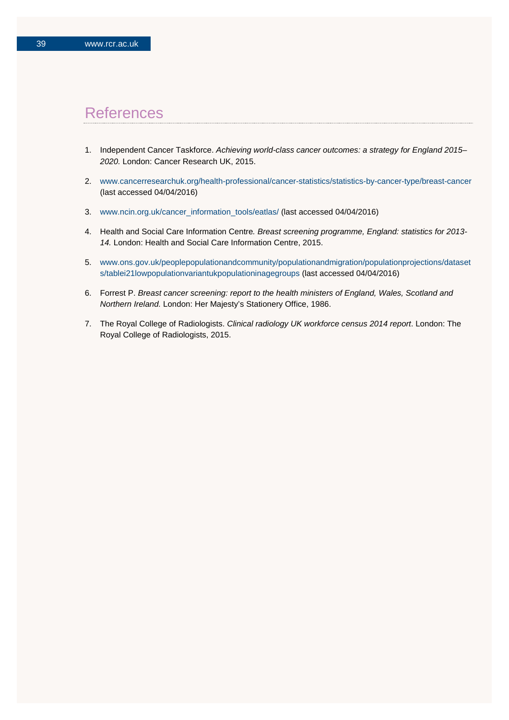## **References**

- 1. Independent Cancer Taskforce. *Achieving world-class cancer outcomes: a strategy for England 2015– 2020.* London: Cancer Research UK, 2015.
- 2. [www.cancerresearchuk.org/health-professional/cancer-statistics/statistics-by-cancer-type/breast-cancer](https://www.cancerresearchuk.org/health-professional/cancer-statistics/statistics-by-cancer-type/breast-cancer) (last accessed 04/04/2016)
- 3. [www.ncin.org.uk/cancer\\_information\\_tools/eatlas/](https://www.ncin.org.uk/cancer_information_tools/eatlas/) (last accessed 04/04/2016)
- 4. Health and Social Care Information Centre*. Breast screening programme, England: statistics for 2013- 14.* London: Health and Social Care Information Centre, 2015.
- 5. [www.ons.gov.uk/peoplepopulationandcommunity/populationandmigration/populationprojections/dataset](https://www.ons.gov.uk/peoplepopulationandcommunity/populationandmigration/populationprojections/datasets/tablei21lowpopulationvariantukpopulationinagegroups) [s/tablei21lowpopulationvariantukpopulationinagegroups](https://www.ons.gov.uk/peoplepopulationandcommunity/populationandmigration/populationprojections/datasets/tablei21lowpopulationvariantukpopulationinagegroups) (last accessed 04/04/2016)
- 6. Forrest P. *Breast cancer screening: report to the health ministers of England, Wales, Scotland and Northern Ireland.* London: Her Majesty's Stationery Office, 1986.
- 7. The Royal College of Radiologists. *Clinical radiology UK workforce census 2014 report*. London: The Royal College of Radiologists, 2015.